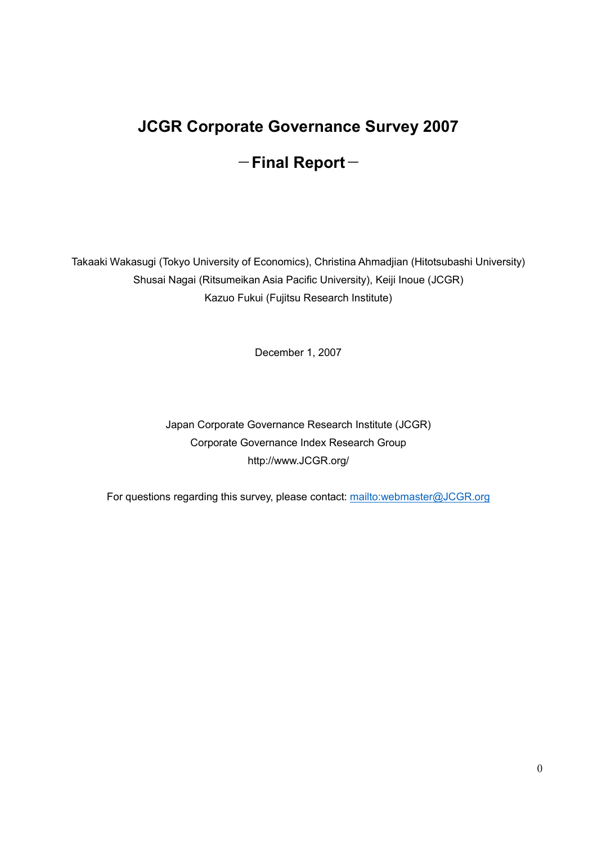# JCGR Corporate Governance Survey 2007  $-$ Final Report $-$

Takaaki Wakasugi (Tokyo University of Economics), Christina Ahmadjian (Hitotsubashi University) Shusai Nagai (Ritsumeikan Asia Pacific University), Keiji Inoue (JCGR) Kazuo Fukui (Fujitsu Research Institute)

December 1, 2007

Japan Corporate Governance Research Institute (JCGR) Corporate Governance Index Research Group http://www.JCGR.org/

For questions regarding this survey, please contact: mailto:webmaster@JCGR.org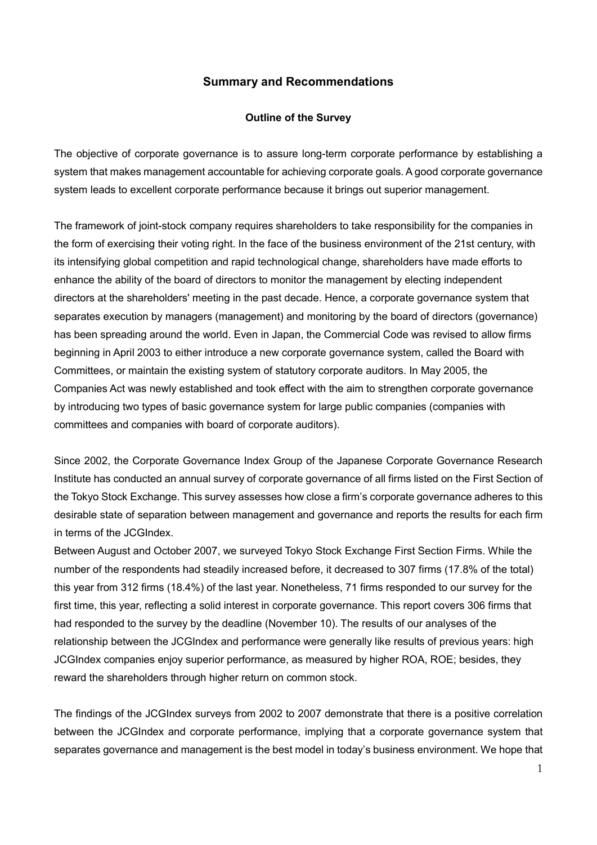## Summary and Recommendations

#### Outline of the Survey

The objective of corporate governance is to assure long-term corporate performance by establishing a system that makes management accountable for achieving corporate goals. A good corporate governance system leads to excellent corporate performance because it brings out superior management.

The framework of joint-stock company requires shareholders to take responsibility for the companies in the form of exercising their voting right. In the face of the business environment of the 21st century, with its intensifying global competition and rapid technological change, shareholders have made efforts to enhance the ability of the board of directors to monitor the management by electing independent directors at the shareholders' meeting in the past decade. Hence, a corporate governance system that separates execution by managers (management) and monitoring by the board of directors (governance) has been spreading around the world. Even in Japan, the Commercial Code was revised to allow firms beginning in April 2003 to either introduce a new corporate governance system, called the Board with Committees, or maintain the existing system of statutory corporate auditors. In May 2005, the Companies Act was newly established and took effect with the aim to strengthen corporate governance by introducing two types of basic governance system for large public companies (companies with committees and companies with board of corporate auditors).

Since 2002, the Corporate Governance Index Group of the Japanese Corporate Governance Research Institute has conducted an annual survey of corporate governance of all firms listed on the First Section of the Tokyo Stock Exchange. This survey assesses how close a firm's corporate governance adheres to this desirable state of separation between management and governance and reports the results for each firm in terms of the JCGIndex.

Between August and October 2007, we surveyed Tokyo Stock Exchange First Section Firms. While the number of the respondents had steadily increased before, it decreased to 307 firms (17.8% of the total) this year from 312 firms (18.4%) of the last year. Nonetheless, 71 firms responded to our survey for the first time, this year, reflecting a solid interest in corporate governance. This report covers 306 firms that had responded to the survey by the deadline (November 10). The results of our analyses of the relationship between the JCGIndex and performance were generally like results of previous years: high JCGIndex companies enjoy superior performance, as measured by higher ROA, ROE; besides, they reward the shareholders through higher return on common stock.

The findings of the JCGIndex surveys from 2002 to 2007 demonstrate that there is a positive correlation between the JCGIndex and corporate performance, implying that a corporate governance system that separates governance and management is the best model in today's business environment. We hope that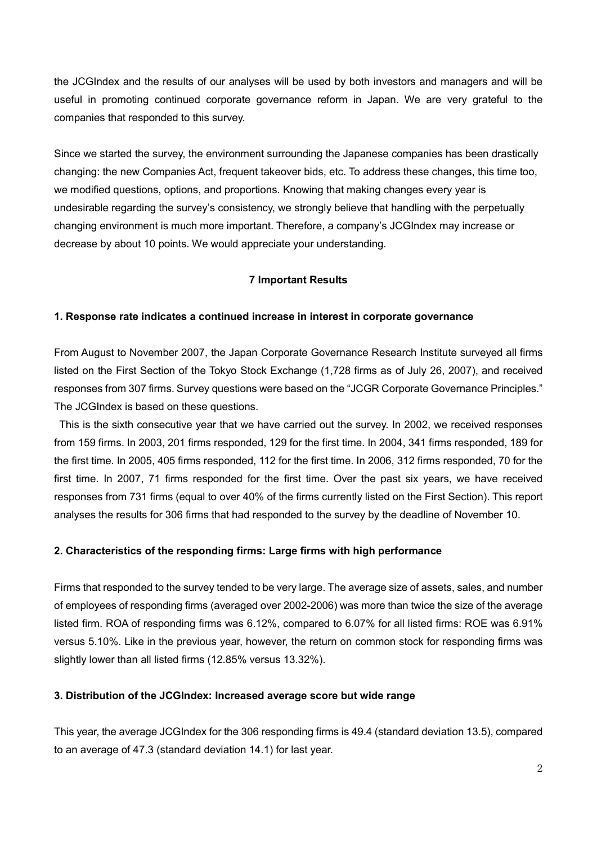the JCGIndex and the results of our analyses will be used by both investors and managers and will be useful in promoting continued corporate governance reform in Japan. We are very grateful to the companies that responded to this survey.

Since we started the survey, the environment surrounding the Japanese companies has been drastically changing: the new Companies Act, frequent takeover bids, etc. To address these changes, this time too, we modified questions, options, and proportions. Knowing that making changes every year is undesirable regarding the survey's consistency, we strongly believe that handling with the perpetually changing environment is much more important. Therefore, a company's JCGIndex may increase or decrease by about 10 points. We would appreciate your understanding.

#### 7 Important Results

#### 1. Response rate indicates a continued increase in interest in corporate governance

From August to November 2007, the Japan Corporate Governance Research Institute surveyed all firms listed on the First Section of the Tokyo Stock Exchange (1,728 firms as of July 26, 2007), and received responses from 307 firms. Survey questions were based on the "JCGR Corporate Governance Principles." The JCGIndex is based on these questions.

 This is the sixth consecutive year that we have carried out the survey. In 2002, we received responses from 159 firms. In 2003, 201 firms responded, 129 for the first time. In 2004, 341 firms responded, 189 for the first time. In 2005, 405 firms responded, 112 for the first time. In 2006, 312 firms responded, 70 for the first time. In 2007, 71 firms responded for the first time. Over the past six years, we have received responses from 731 firms (equal to over 40% of the firms currently listed on the First Section). This report analyses the results for 306 firms that had responded to the survey by the deadline of November 10.

#### 2. Characteristics of the responding firms: Large firms with high performance

Firms that responded to the survey tended to be very large. The average size of assets, sales, and number of employees of responding firms (averaged over 2002-2006) was more than twice the size of the average listed firm. ROA of responding firms was 6.12%, compared to 6.07% for all listed firms: ROE was 6.91% versus 5.10%. Like in the previous year, however, the return on common stock for responding firms was slightly lower than all listed firms (12.85% versus 13.32%).

#### 3. Distribution of the JCGIndex: Increased average score but wide range

This year, the average JCGIndex for the 306 responding firms is 49.4 (standard deviation 13.5), compared to an average of 47.3 (standard deviation 14.1) for last year.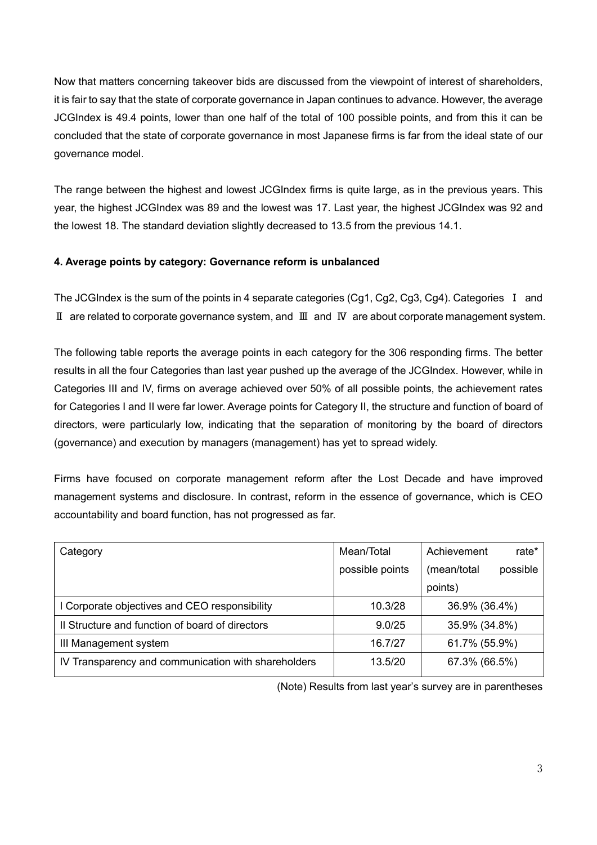Now that matters concerning takeover bids are discussed from the viewpoint of interest of shareholders, it is fair to say that the state of corporate governance in Japan continues to advance. However, the average JCGIndex is 49.4 points, lower than one half of the total of 100 possible points, and from this it can be concluded that the state of corporate governance in most Japanese firms is far from the ideal state of our governance model.

The range between the highest and lowest JCGIndex firms is quite large, as in the previous years. This year, the highest JCGIndex was 89 and the lowest was 17. Last year, the highest JCGIndex was 92 and the lowest 18. The standard deviation slightly decreased to 13.5 from the previous 14.1.

## 4. Average points by category: Governance reform is unbalanced

The JCGIndex is the sum of the points in 4 separate categories (Cg1, Cg2, Cg3, Cg4). Categories I and Ⅱ are related to corporate governance system, and Ⅲ and Ⅳ are about corporate management system.

The following table reports the average points in each category for the 306 responding firms. The better results in all the four Categories than last year pushed up the average of the JCGIndex. However, while in Categories III and IV, firms on average achieved over 50% of all possible points, the achievement rates for Categories I and II were far lower. Average points for Category II, the structure and function of board of directors, were particularly low, indicating that the separation of monitoring by the board of directors (governance) and execution by managers (management) has yet to spread widely.

Firms have focused on corporate management reform after the Lost Decade and have improved management systems and disclosure. In contrast, reform in the essence of governance, which is CEO accountability and board function, has not progressed as far.

| Category                                            | Mean/Total      | Achievement<br>rate*    |
|-----------------------------------------------------|-----------------|-------------------------|
|                                                     | possible points | (mean/total<br>possible |
|                                                     |                 | points)                 |
| I Corporate objectives and CEO responsibility       | 10.3/28         | 36.9% (36.4%)           |
| Il Structure and function of board of directors     | 9.0/25          | 35.9% (34.8%)           |
| III Management system                               | 16.7/27         | 61.7% (55.9%)           |
| IV Transparency and communication with shareholders | 13.5/20         | 67.3% (66.5%)           |

(Note) Results from last year's survey are in parentheses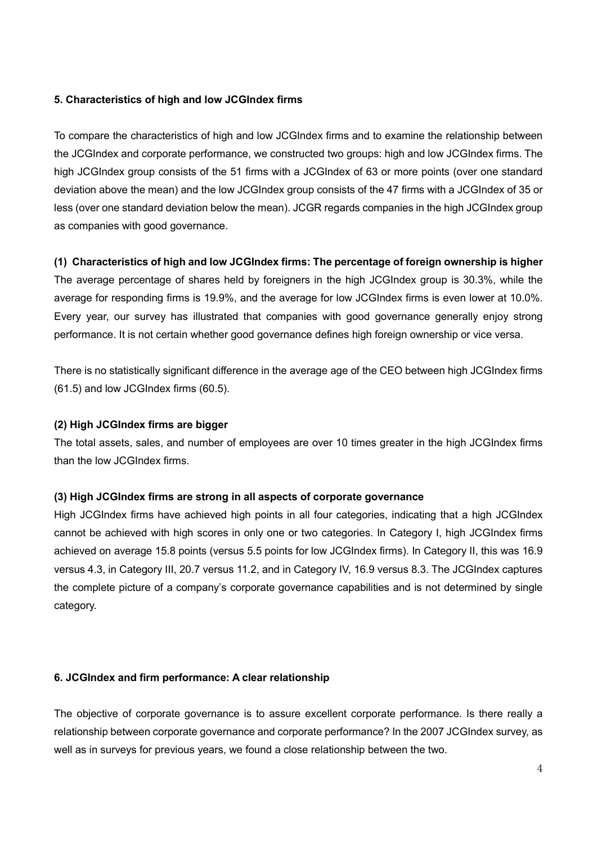## 5. Characteristics of high and low JCGIndex firms

To compare the characteristics of high and low JCGIndex firms and to examine the relationship between the JCGIndex and corporate performance, we constructed two groups: high and low JCGIndex firms. The high JCGIndex group consists of the 51 firms with a JCGIndex of 63 or more points (over one standard deviation above the mean) and the low JCGIndex group consists of the 47 firms with a JCGIndex of 35 or less (over one standard deviation below the mean). JCGR regards companies in the high JCGIndex group as companies with good governance.

#### (1) Characteristics of high and low JCGIndex firms: The percentage of foreign ownership is higher

The average percentage of shares held by foreigners in the high JCGIndex group is 30.3%, while the average for responding firms is 19.9%, and the average for low JCGIndex firms is even lower at 10.0%. Every year, our survey has illustrated that companies with good governance generally enjoy strong performance. It is not certain whether good governance defines high foreign ownership or vice versa.

There is no statistically significant difference in the average age of the CEO between high JCGIndex firms (61.5) and low JCGIndex firms (60.5).

#### (2) High JCGIndex firms are bigger

The total assets, sales, and number of employees are over 10 times greater in the high JCGIndex firms than the low JCGIndex firms.

#### (3) High JCGIndex firms are strong in all aspects of corporate governance

High JCGIndex firms have achieved high points in all four categories, indicating that a high JCGIndex cannot be achieved with high scores in only one or two categories. In Category I, high JCGIndex firms achieved on average 15.8 points (versus 5.5 points for low JCGIndex firms). In Category II, this was 16.9 versus 4.3, in Category III, 20.7 versus 11.2, and in Category IV, 16.9 versus 8.3. The JCGIndex captures the complete picture of a company's corporate governance capabilities and is not determined by single category.

#### 6. JCGIndex and firm performance: A clear relationship

The objective of corporate governance is to assure excellent corporate performance. Is there really a relationship between corporate governance and corporate performance? In the 2007 JCGIndex survey, as well as in surveys for previous years, we found a close relationship between the two.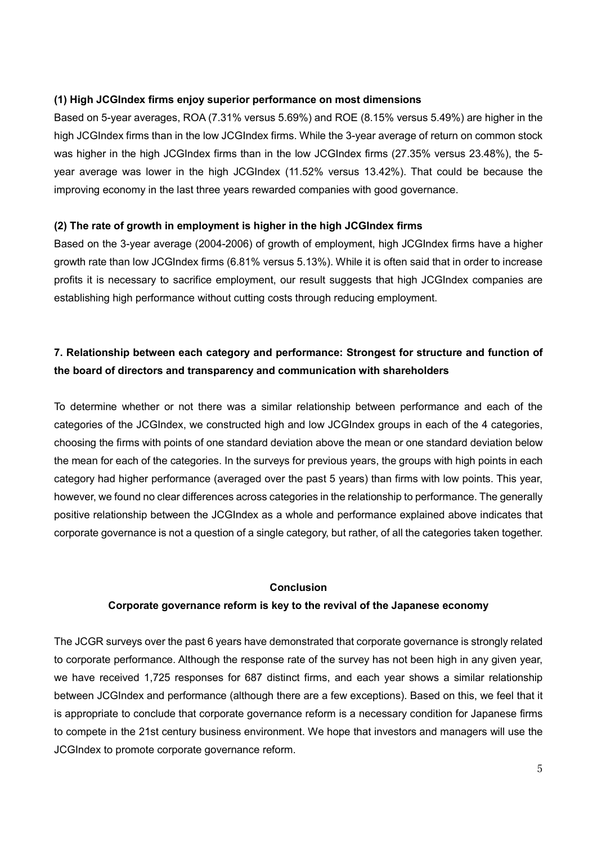## (1) High JCGIndex firms enjoy superior performance on most dimensions

Based on 5-year averages, ROA (7.31% versus 5.69%) and ROE (8.15% versus 5.49%) are higher in the high JCGIndex firms than in the low JCGIndex firms. While the 3-year average of return on common stock was higher in the high JCGIndex firms than in the low JCGIndex firms (27.35% versus 23.48%), the 5 year average was lower in the high JCGIndex (11.52% versus 13.42%). That could be because the improving economy in the last three years rewarded companies with good governance.

## (2) The rate of growth in employment is higher in the high JCGIndex firms

Based on the 3-year average (2004-2006) of growth of employment, high JCGIndex firms have a higher growth rate than low JCGIndex firms (6.81% versus 5.13%). While it is often said that in order to increase profits it is necessary to sacrifice employment, our result suggests that high JCGIndex companies are establishing high performance without cutting costs through reducing employment.

# 7. Relationship between each category and performance: Strongest for structure and function of the board of directors and transparency and communication with shareholders

To determine whether or not there was a similar relationship between performance and each of the categories of the JCGIndex, we constructed high and low JCGIndex groups in each of the 4 categories, choosing the firms with points of one standard deviation above the mean or one standard deviation below the mean for each of the categories. In the surveys for previous years, the groups with high points in each category had higher performance (averaged over the past 5 years) than firms with low points. This year, however, we found no clear differences across categories in the relationship to performance. The generally positive relationship between the JCGIndex as a whole and performance explained above indicates that corporate governance is not a question of a single category, but rather, of all the categories taken together.

#### Conclusion

## Corporate governance reform is key to the revival of the Japanese economy

The JCGR surveys over the past 6 years have demonstrated that corporate governance is strongly related to corporate performance. Although the response rate of the survey has not been high in any given year, we have received 1,725 responses for 687 distinct firms, and each year shows a similar relationship between JCGIndex and performance (although there are a few exceptions). Based on this, we feel that it is appropriate to conclude that corporate governance reform is a necessary condition for Japanese firms to compete in the 21st century business environment. We hope that investors and managers will use the JCGIndex to promote corporate governance reform.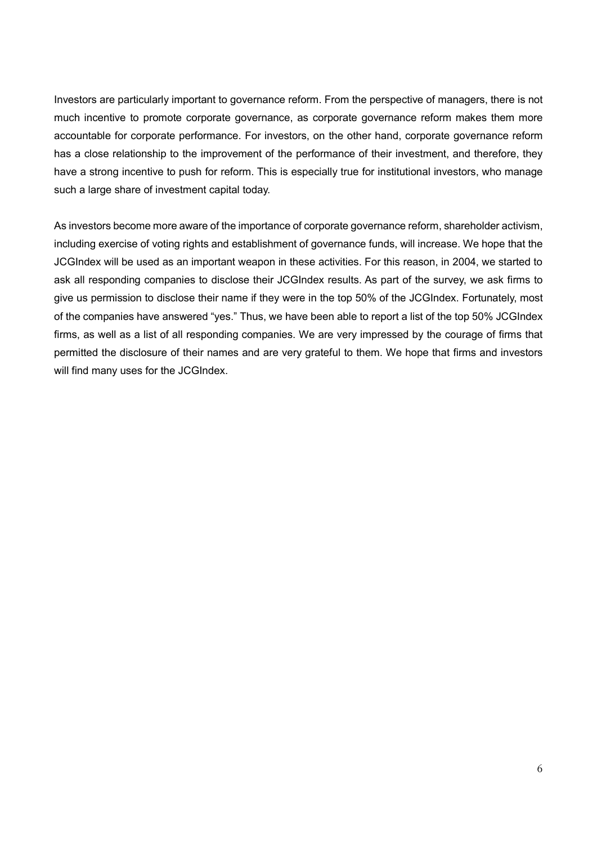Investors are particularly important to governance reform. From the perspective of managers, there is not much incentive to promote corporate governance, as corporate governance reform makes them more accountable for corporate performance. For investors, on the other hand, corporate governance reform has a close relationship to the improvement of the performance of their investment, and therefore, they have a strong incentive to push for reform. This is especially true for institutional investors, who manage such a large share of investment capital today.

As investors become more aware of the importance of corporate governance reform, shareholder activism, including exercise of voting rights and establishment of governance funds, will increase. We hope that the JCGIndex will be used as an important weapon in these activities. For this reason, in 2004, we started to ask all responding companies to disclose their JCGIndex results. As part of the survey, we ask firms to give us permission to disclose their name if they were in the top 50% of the JCGIndex. Fortunately, most of the companies have answered "yes." Thus, we have been able to report a list of the top 50% JCGIndex firms, as well as a list of all responding companies. We are very impressed by the courage of firms that permitted the disclosure of their names and are very grateful to them. We hope that firms and investors will find many uses for the JCGIndex.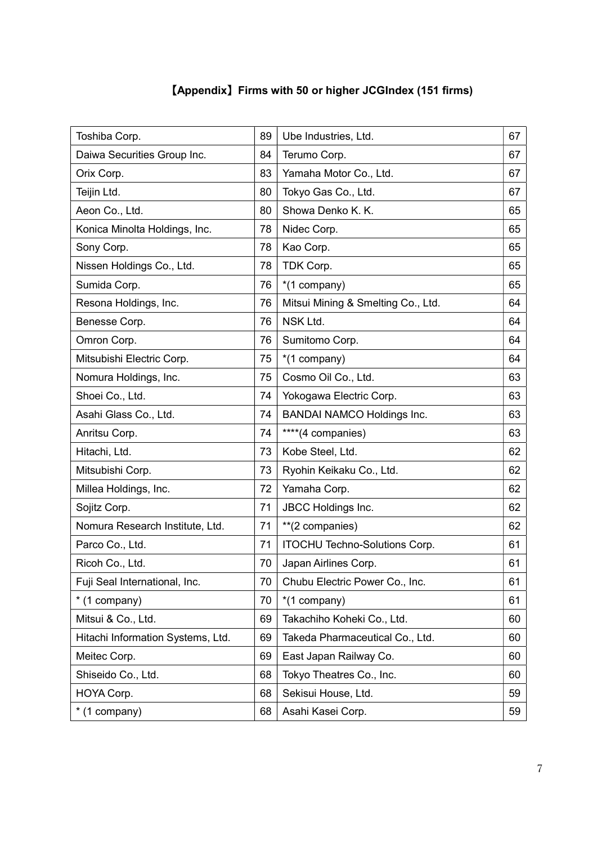| [Appendix] Firms with 50 or higher JCGIndex (151 firms) |  |  |  |  |
|---------------------------------------------------------|--|--|--|--|
|---------------------------------------------------------|--|--|--|--|

| Toshiba Corp.                     | 89 | Ube Industries, Ltd.                 | 67 |
|-----------------------------------|----|--------------------------------------|----|
| Daiwa Securities Group Inc.       | 84 | Terumo Corp.                         | 67 |
| Orix Corp.                        | 83 | Yamaha Motor Co., Ltd.               | 67 |
| Teijin Ltd.                       | 80 | Tokyo Gas Co., Ltd.                  | 67 |
| Aeon Co., Ltd.                    | 80 | Showa Denko K. K.                    | 65 |
| Konica Minolta Holdings, Inc.     | 78 | Nidec Corp.                          | 65 |
| Sony Corp.                        | 78 | Kao Corp.                            | 65 |
| Nissen Holdings Co., Ltd.         | 78 | TDK Corp.                            | 65 |
| Sumida Corp.                      | 76 | *(1 company)                         | 65 |
| Resona Holdings, Inc.             | 76 | Mitsui Mining & Smelting Co., Ltd.   | 64 |
| Benesse Corp.                     | 76 | NSK Ltd.                             | 64 |
| Omron Corp.                       | 76 | Sumitomo Corp.                       | 64 |
| Mitsubishi Electric Corp.         | 75 | *(1 company)                         | 64 |
| Nomura Holdings, Inc.             | 75 | Cosmo Oil Co., Ltd.                  | 63 |
| Shoei Co., Ltd.                   | 74 | Yokogawa Electric Corp.              | 63 |
| Asahi Glass Co., Ltd.             | 74 | <b>BANDAI NAMCO Holdings Inc.</b>    | 63 |
| Anritsu Corp.                     | 74 | ****(4 companies)                    | 63 |
| Hitachi, Ltd.                     | 73 | Kobe Steel, Ltd.                     | 62 |
| Mitsubishi Corp.                  | 73 | Ryohin Keikaku Co., Ltd.             | 62 |
| Millea Holdings, Inc.             | 72 | Yamaha Corp.                         | 62 |
| Sojitz Corp.                      | 71 | <b>JBCC Holdings Inc.</b>            | 62 |
| Nomura Research Institute, Ltd.   | 71 | **(2 companies)                      | 62 |
| Parco Co., Ltd.                   | 71 | <b>ITOCHU Techno-Solutions Corp.</b> | 61 |
| Ricoh Co., Ltd.                   | 70 | Japan Airlines Corp.                 | 61 |
| Fuji Seal International, Inc.     | 70 | Chubu Electric Power Co., Inc.       | 61 |
| * (1 company)                     | 70 | *(1 company)                         | 61 |
| Mitsui & Co., Ltd.                | 69 | Takachiho Koheki Co., Ltd.           | 60 |
| Hitachi Information Systems, Ltd. | 69 | Takeda Pharmaceutical Co., Ltd.      | 60 |
| Meitec Corp.                      | 69 | East Japan Railway Co.               | 60 |
| Shiseido Co., Ltd.                | 68 | Tokyo Theatres Co., Inc.             | 60 |
| HOYA Corp.                        | 68 | Sekisui House, Ltd.                  | 59 |
| * (1 company)                     | 68 | Asahi Kasei Corp.                    | 59 |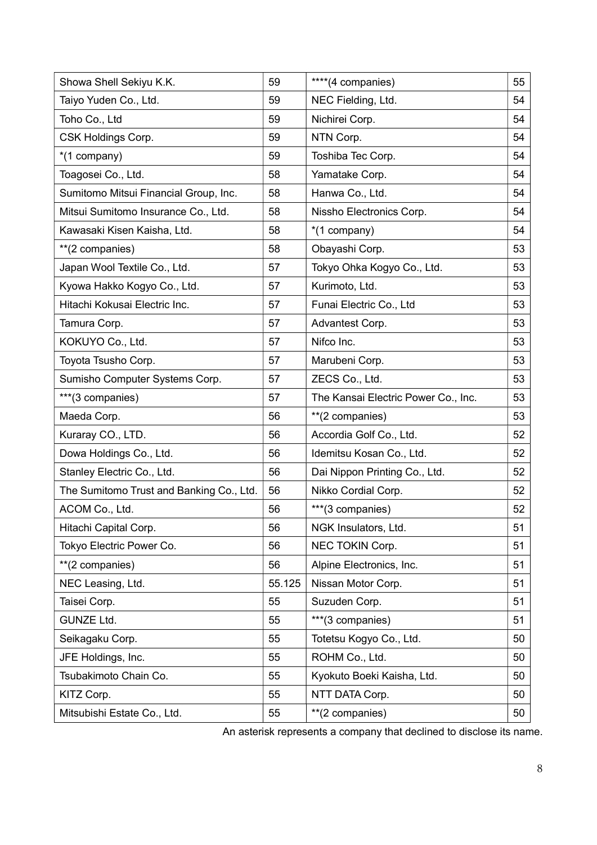| Showa Shell Sekiyu K.K.                  | 59     | ****(4 companies)                   | 55 |
|------------------------------------------|--------|-------------------------------------|----|
| Taiyo Yuden Co., Ltd.                    | 59     | NEC Fielding, Ltd.                  | 54 |
| Toho Co., Ltd                            | 59     | Nichirei Corp.                      | 54 |
| CSK Holdings Corp.                       | 59     | NTN Corp.                           | 54 |
| *(1 company)                             | 59     | Toshiba Tec Corp.                   | 54 |
| Toagosei Co., Ltd.                       | 58     | Yamatake Corp.                      | 54 |
| Sumitomo Mitsui Financial Group, Inc.    | 58     | Hanwa Co., Ltd.                     | 54 |
| Mitsui Sumitomo Insurance Co., Ltd.      | 58     | Nissho Electronics Corp.            | 54 |
| Kawasaki Kisen Kaisha, Ltd.              | 58     | *(1 company)                        | 54 |
| **(2 companies)                          | 58     | Obayashi Corp.                      | 53 |
| Japan Wool Textile Co., Ltd.             | 57     | Tokyo Ohka Kogyo Co., Ltd.          | 53 |
| Kyowa Hakko Kogyo Co., Ltd.              | 57     | Kurimoto, Ltd.                      | 53 |
| Hitachi Kokusai Electric Inc.            | 57     | Funai Electric Co., Ltd             | 53 |
| Tamura Corp.                             | 57     | Advantest Corp.                     | 53 |
| KOKUYO Co., Ltd.                         | 57     | Nifco Inc.                          | 53 |
| Toyota Tsusho Corp.                      | 57     | Marubeni Corp.                      | 53 |
| Sumisho Computer Systems Corp.           | 57     | ZECS Co., Ltd.                      | 53 |
| ***(3 companies)                         | 57     | The Kansai Electric Power Co., Inc. | 53 |
| Maeda Corp.                              | 56     | **(2 companies)                     | 53 |
| Kuraray CO., LTD.                        | 56     | Accordia Golf Co., Ltd.             | 52 |
| Dowa Holdings Co., Ltd.                  | 56     | Idemitsu Kosan Co., Ltd.            | 52 |
| Stanley Electric Co., Ltd.               | 56     | Dai Nippon Printing Co., Ltd.       | 52 |
| The Sumitomo Trust and Banking Co., Ltd. | 56     | Nikko Cordial Corp.                 | 52 |
| ACOM Co., Ltd.                           | 56     | ***(3 companies)                    | 52 |
| Hitachi Capital Corp.                    | 56     | NGK Insulators, Ltd.                | 51 |
| Tokyo Electric Power Co.                 | 56     | NEC TOKIN Corp.                     | 51 |
| **(2 companies)                          | 56     | Alpine Electronics, Inc.            | 51 |
| NEC Leasing, Ltd.                        | 55.125 | Nissan Motor Corp.                  | 51 |
| Taisei Corp.                             | 55     | Suzuden Corp.                       | 51 |
| <b>GUNZE Ltd.</b>                        | 55     | ***(3 companies)                    | 51 |
| Seikagaku Corp.                          | 55     | Totetsu Kogyo Co., Ltd.             | 50 |
| JFE Holdings, Inc.                       | 55     | ROHM Co., Ltd.                      | 50 |
| Tsubakimoto Chain Co.                    | 55     | Kyokuto Boeki Kaisha, Ltd.          | 50 |
| KITZ Corp.                               | 55     | NTT DATA Corp.                      | 50 |
| Mitsubishi Estate Co., Ltd.              | 55     | **(2 companies)                     | 50 |

An asterisk represents a company that declined to disclose its name.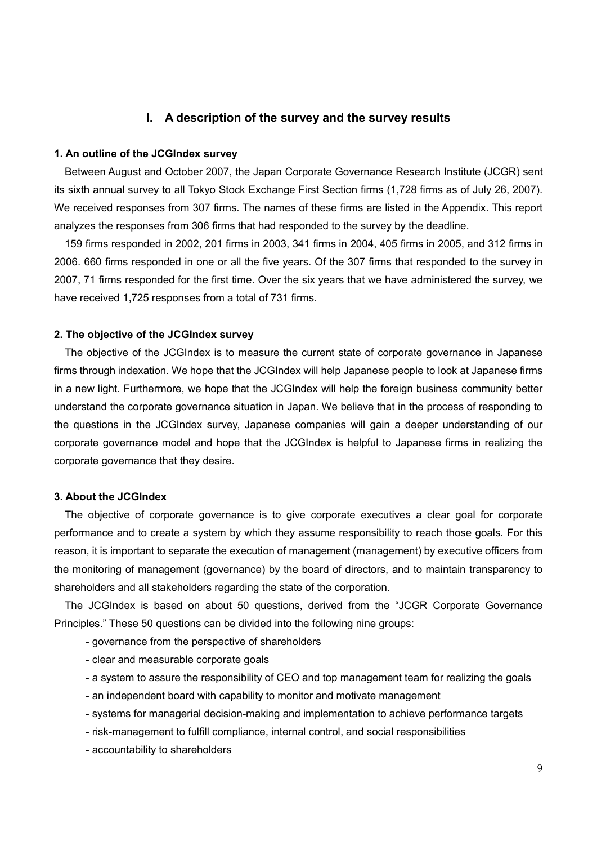## I. A description of the survey and the survey results

#### 1. An outline of the JCGIndex survey

Between August and October 2007, the Japan Corporate Governance Research Institute (JCGR) sent its sixth annual survey to all Tokyo Stock Exchange First Section firms (1,728 firms as of July 26, 2007). We received responses from 307 firms. The names of these firms are listed in the Appendix. This report analyzes the responses from 306 firms that had responded to the survey by the deadline.

 159 firms responded in 2002, 201 firms in 2003, 341 firms in 2004, 405 firms in 2005, and 312 firms in 2006. 660 firms responded in one or all the five years. Of the 307 firms that responded to the survey in 2007, 71 firms responded for the first time. Over the six years that we have administered the survey, we have received 1,725 responses from a total of 731 firms.

#### 2. The objective of the JCGIndex survey

 The objective of the JCGIndex is to measure the current state of corporate governance in Japanese firms through indexation. We hope that the JCGIndex will help Japanese people to look at Japanese firms in a new light. Furthermore, we hope that the JCGIndex will help the foreign business community better understand the corporate governance situation in Japan. We believe that in the process of responding to the questions in the JCGIndex survey, Japanese companies will gain a deeper understanding of our corporate governance model and hope that the JCGIndex is helpful to Japanese firms in realizing the corporate governance that they desire.

#### 3. About the JCGIndex

 The objective of corporate governance is to give corporate executives a clear goal for corporate performance and to create a system by which they assume responsibility to reach those goals. For this reason, it is important to separate the execution of management (management) by executive officers from the monitoring of management (governance) by the board of directors, and to maintain transparency to shareholders and all stakeholders regarding the state of the corporation.

 The JCGIndex is based on about 50 questions, derived from the "JCGR Corporate Governance Principles." These 50 questions can be divided into the following nine groups:

- governance from the perspective of shareholders
- clear and measurable corporate goals
- a system to assure the responsibility of CEO and top management team for realizing the goals
- an independent board with capability to monitor and motivate management
- systems for managerial decision-making and implementation to achieve performance targets
- risk-management to fulfill compliance, internal control, and social responsibilities
- accountability to shareholders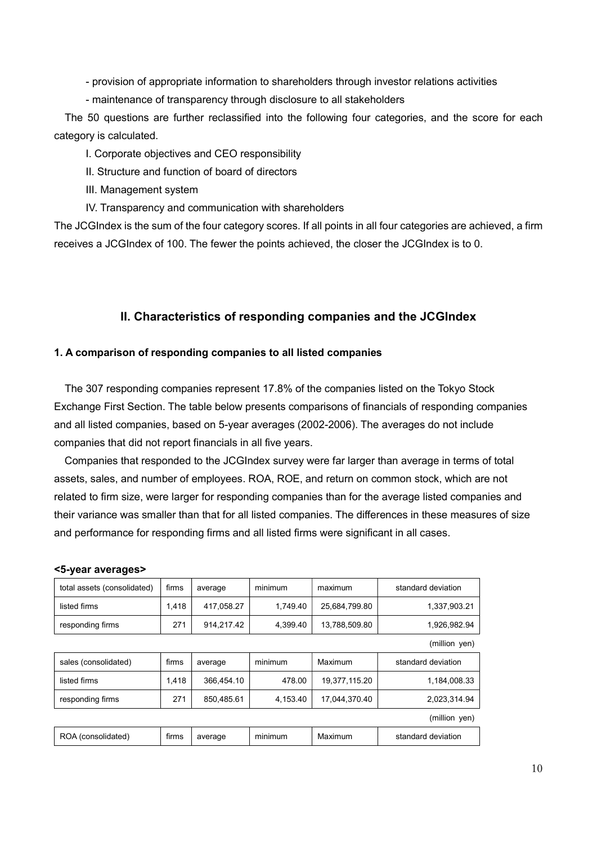- provision of appropriate information to shareholders through investor relations activities

- maintenance of transparency through disclosure to all stakeholders

The 50 questions are further reclassified into the following four categories, and the score for each category is calculated.

## I. Corporate objectives and CEO responsibility

- II. Structure and function of board of directors
- III. Management system
- IV. Transparency and communication with shareholders

The JCGIndex is the sum of the four category scores. If all points in all four categories are achieved, a firm receives a JCGIndex of 100. The fewer the points achieved, the closer the JCGIndex is to 0.

## II. Characteristics of responding companies and the JCGIndex

#### 1. A comparison of responding companies to all listed companies

The 307 responding companies represent 17.8% of the companies listed on the Tokyo Stock Exchange First Section. The table below presents comparisons of financials of responding companies and all listed companies, based on 5-year averages (2002-2006). The averages do not include companies that did not report financials in all five years.

 Companies that responded to the JCGIndex survey were far larger than average in terms of total assets, sales, and number of employees. ROA, ROE, and return on common stock, which are not related to firm size, were larger for responding companies than for the average listed companies and their variance was smaller than that for all listed companies. The differences in these measures of size and performance for responding firms and all listed firms were significant in all cases.

| total assets (consolidated) | firms | average    | minimum  | maximum       | standard deviation |
|-----------------------------|-------|------------|----------|---------------|--------------------|
| listed firms                | 1.418 | 417.058.27 | 1.749.40 | 25.684.799.80 | 1,337,903.21       |
| responding firms            | 271   | 914.217.42 | 4.399.40 | 13,788,509.80 | 1,926,982.94       |
|                             |       |            |          |               | (million yen)      |
| sales (consolidated)        | firms | average    | minimum  | Maximum       | standard deviation |
| listed firms                | 1,418 | 366.454.10 | 478.00   | 19.377.115.20 | 1,184,008.33       |
| responding firms            | 271   | 850,485.61 | 4,153.40 | 17,044,370.40 | 2,023,314.94       |
|                             |       |            |          |               | (million yen)      |
| ROA (consolidated)          | firms | average    | minimum  | Maximum       | standard deviation |

#### <5-year averages>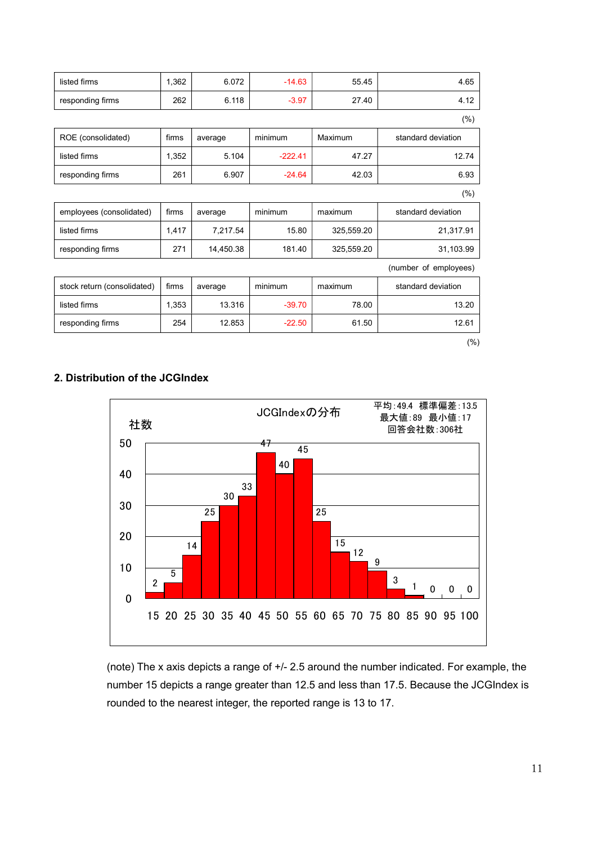| 1,362 | 6.072     | $-14.63$  | 55.45      | 4.65                  |
|-------|-----------|-----------|------------|-----------------------|
| 262   | 6.118     | $-3.97$   | 27.40      | 4.12                  |
|       |           |           |            | (% )                  |
| firms | average   | minimum   | Maximum    | standard deviation    |
| 1,352 | 5.104     | $-222.41$ | 47.27      | 12.74                 |
| 261   | 6.907     | $-24.64$  | 42.03      | 6.93                  |
|       |           |           |            | (% )                  |
| firms |           | minimum   | maximum    | standard deviation    |
|       |           |           |            |                       |
| 1,417 | 7,217.54  | 15.80     | 325,559.20 | 21,317.91             |
| 271   | 14,450.38 | 181.40    | 325,559.20 | 31,103.99             |
|       |           |           |            | (number of employees) |
| firms | average   | minimum   | maximum    | standard deviation    |
| 1,353 | 13.316    | $-39.70$  | 78.00      | 13.20                 |
|       |           | average   |            |                       |

(%)

## 2. Distribution of the JCGIndex



(note) The x axis depicts a range of +/- 2.5 around the number indicated. For example, the number 15 depicts a range greater than 12.5 and less than 17.5. Because the JCGIndex is rounded to the nearest integer, the reported range is 13 to 17.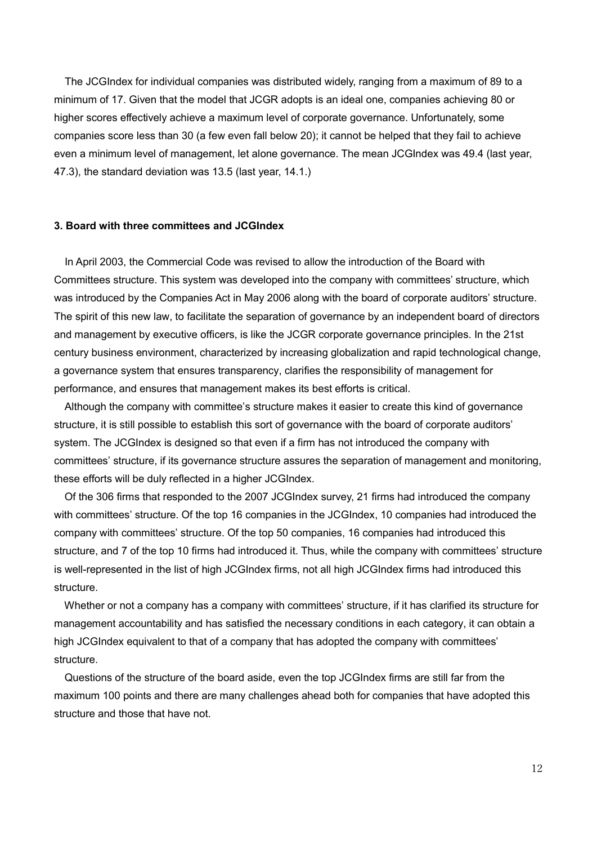The JCGIndex for individual companies was distributed widely, ranging from a maximum of 89 to a minimum of 17. Given that the model that JCGR adopts is an ideal one, companies achieving 80 or higher scores effectively achieve a maximum level of corporate governance. Unfortunately, some companies score less than 30 (a few even fall below 20); it cannot be helped that they fail to achieve even a minimum level of management, let alone governance. The mean JCGIndex was 49.4 (last year, 47.3), the standard deviation was 13.5 (last year, 14.1.)

#### 3. Board with three committees and JCGIndex

In April 2003, the Commercial Code was revised to allow the introduction of the Board with Committees structure. This system was developed into the company with committees' structure, which was introduced by the Companies Act in May 2006 along with the board of corporate auditors' structure. The spirit of this new law, to facilitate the separation of governance by an independent board of directors and management by executive officers, is like the JCGR corporate governance principles. In the 21st century business environment, characterized by increasing globalization and rapid technological change, a governance system that ensures transparency, clarifies the responsibility of management for performance, and ensures that management makes its best efforts is critical.

 Although the company with committee's structure makes it easier to create this kind of governance structure, it is still possible to establish this sort of governance with the board of corporate auditors' system. The JCGIndex is designed so that even if a firm has not introduced the company with committees' structure, if its governance structure assures the separation of management and monitoring, these efforts will be duly reflected in a higher JCGIndex.

 Of the 306 firms that responded to the 2007 JCGIndex survey, 21 firms had introduced the company with committees' structure. Of the top 16 companies in the JCGIndex, 10 companies had introduced the company with committees' structure. Of the top 50 companies, 16 companies had introduced this structure, and 7 of the top 10 firms had introduced it. Thus, while the company with committees' structure is well-represented in the list of high JCGIndex firms, not all high JCGIndex firms had introduced this structure.

 Whether or not a company has a company with committees' structure, if it has clarified its structure for management accountability and has satisfied the necessary conditions in each category, it can obtain a high JCGIndex equivalent to that of a company that has adopted the company with committees' structure.

 Questions of the structure of the board aside, even the top JCGIndex firms are still far from the maximum 100 points and there are many challenges ahead both for companies that have adopted this structure and those that have not.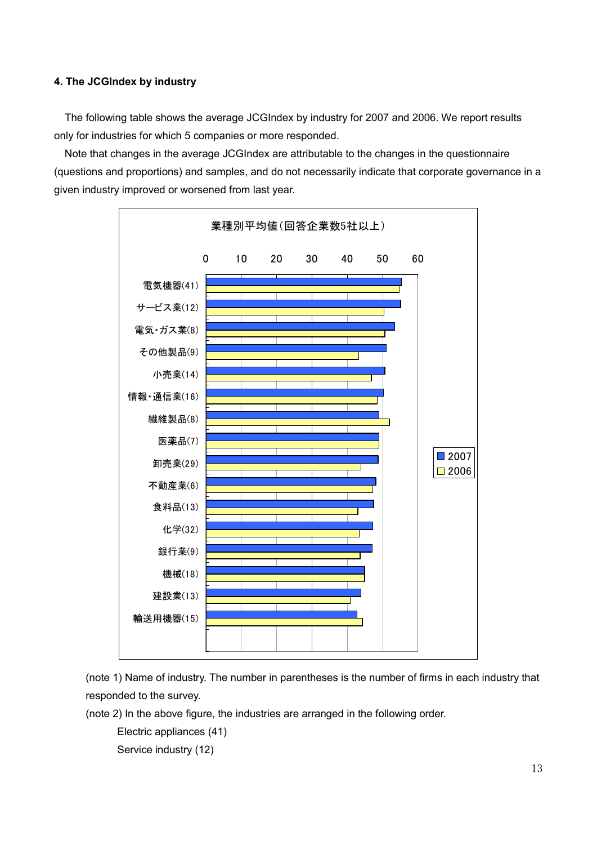## 4. The JCGIndex by industry

The following table shows the average JCGIndex by industry for 2007 and 2006. We report results only for industries for which 5 companies or more responded.

 Note that changes in the average JCGIndex are attributable to the changes in the questionnaire (questions and proportions) and samples, and do not necessarily indicate that corporate governance in a given industry improved or worsened from last year.



(note 1) Name of industry. The number in parentheses is the number of firms in each industry that responded to the survey.

(note 2) In the above figure, the industries are arranged in the following order.

Electric appliances (41)

Service industry (12)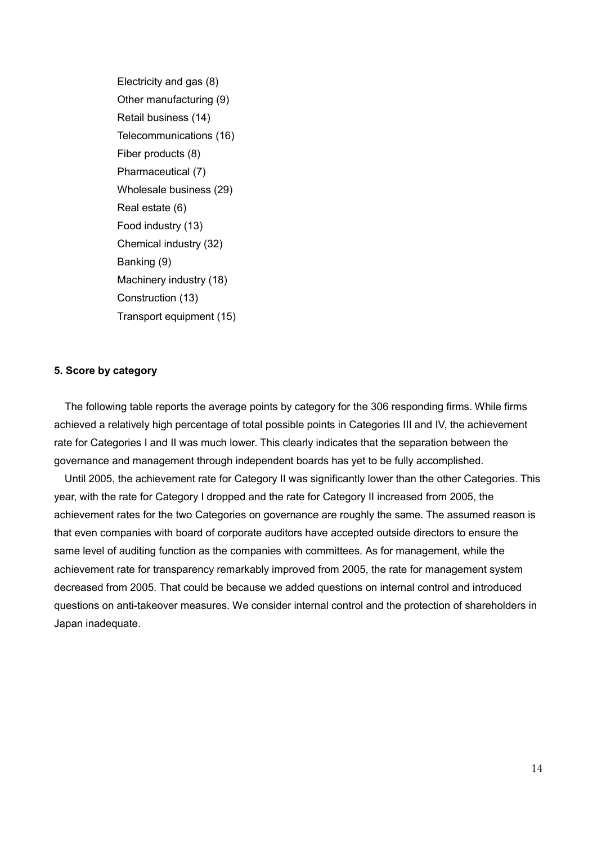Electricity and gas (8) Other manufacturing (9) Retail business (14) Telecommunications (16) Fiber products (8) Pharmaceutical (7) Wholesale business (29) Real estate (6) Food industry (13) Chemical industry (32) Banking (9) Machinery industry (18) Construction (13) Transport equipment (15)

#### 5. Score by category

The following table reports the average points by category for the 306 responding firms. While firms achieved a relatively high percentage of total possible points in Categories III and IV, the achievement rate for Categories I and II was much lower. This clearly indicates that the separation between the governance and management through independent boards has yet to be fully accomplished.

 Until 2005, the achievement rate for Category II was significantly lower than the other Categories. This year, with the rate for Category I dropped and the rate for Category II increased from 2005, the achievement rates for the two Categories on governance are roughly the same. The assumed reason is that even companies with board of corporate auditors have accepted outside directors to ensure the same level of auditing function as the companies with committees. As for management, while the achievement rate for transparency remarkably improved from 2005, the rate for management system decreased from 2005. That could be because we added questions on internal control and introduced questions on anti-takeover measures. We consider internal control and the protection of shareholders in Japan inadequate.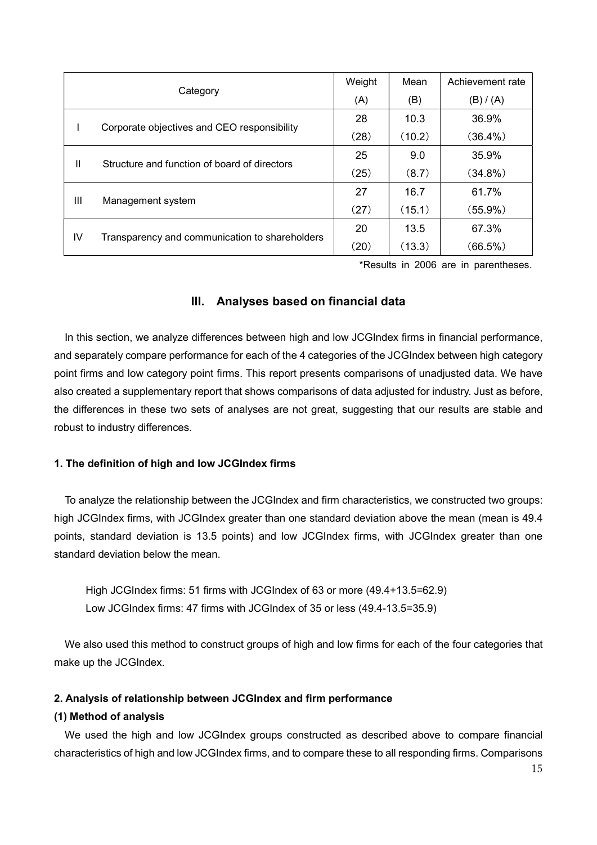|                                                      |                                                   | Weight | Mean   | Achievement rate |
|------------------------------------------------------|---------------------------------------------------|--------|--------|------------------|
|                                                      | Category                                          |        | (B)    | (B) / (A)        |
|                                                      | Corporate objectives and CEO responsibility       |        | 10.3   | 36.9%            |
|                                                      |                                                   |        | (10.2) | $(36.4\%)$       |
|                                                      | Ш<br>Structure and function of board of directors |        | 9.0    | 35.9%            |
|                                                      |                                                   |        | (8.7)  | $(34.8\%)$       |
| $\mathbf{III}$                                       |                                                   |        | 16.7   | 61.7%            |
| Management system                                    |                                                   | (27)   | (15.1) | (55.9%)          |
| IV<br>Transparency and communication to shareholders |                                                   | 20     | 13.5   | 67.3%            |
|                                                      |                                                   | (20)   | (13.3) | $(66.5\%)$       |

\*Results in 2006 are in parentheses.

## III. Analyses based on financial data

In this section, we analyze differences between high and low JCGIndex firms in financial performance, and separately compare performance for each of the 4 categories of the JCGIndex between high category point firms and low category point firms. This report presents comparisons of unadjusted data. We have also created a supplementary report that shows comparisons of data adjusted for industry. Just as before, the differences in these two sets of analyses are not great, suggesting that our results are stable and robust to industry differences.

#### 1. The definition of high and low JCGIndex firms

To analyze the relationship between the JCGIndex and firm characteristics, we constructed two groups: high JCGIndex firms, with JCGIndex greater than one standard deviation above the mean (mean is 49.4 points, standard deviation is 13.5 points) and low JCGIndex firms, with JCGIndex greater than one standard deviation below the mean.

High JCGIndex firms: 51 firms with JCGIndex of 63 or more (49.4+13.5=62.9) Low JCGIndex firms: 47 firms with JCGIndex of 35 or less (49.4-13.5=35.9)

We also used this method to construct groups of high and low firms for each of the four categories that make up the JCGIndex.

## 2. Analysis of relationship between JCGIndex and firm performance

## (1) Method of analysis

We used the high and low JCGIndex groups constructed as described above to compare financial characteristics of high and low JCGIndex firms, and to compare these to all responding firms. Comparisons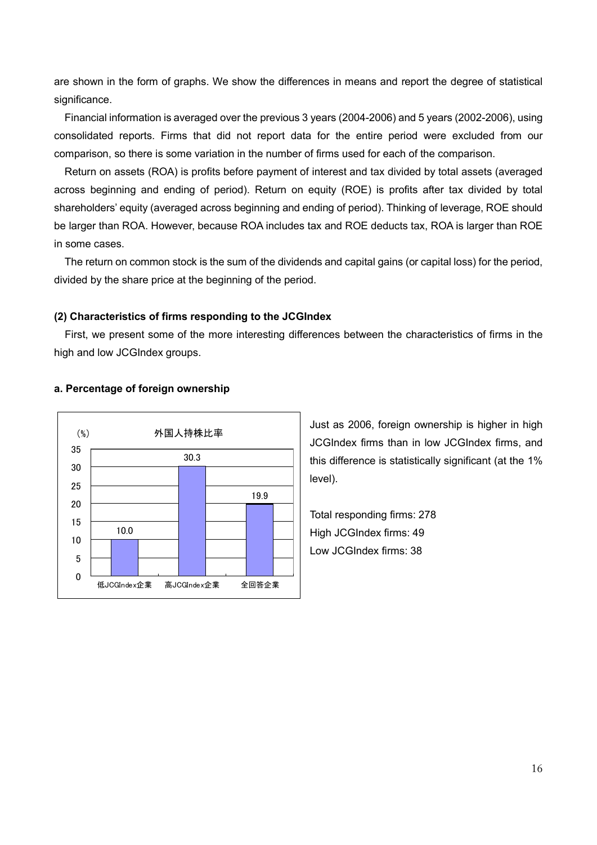are shown in the form of graphs. We show the differences in means and report the degree of statistical significance.

 Financial information is averaged over the previous 3 years (2004-2006) and 5 years (2002-2006), using consolidated reports. Firms that did not report data for the entire period were excluded from our comparison, so there is some variation in the number of firms used for each of the comparison.

 Return on assets (ROA) is profits before payment of interest and tax divided by total assets (averaged across beginning and ending of period). Return on equity (ROE) is profits after tax divided by total shareholders' equity (averaged across beginning and ending of period). Thinking of leverage, ROE should be larger than ROA. However, because ROA includes tax and ROE deducts tax, ROA is larger than ROE in some cases.

The return on common stock is the sum of the dividends and capital gains (or capital loss) for the period, divided by the share price at the beginning of the period.

## (2) Characteristics of firms responding to the JCGIndex

First, we present some of the more interesting differences between the characteristics of firms in the high and low JCGIndex groups.



#### a. Percentage of foreign ownership

Just as 2006, foreign ownership is higher in high JCGIndex firms than in low JCGIndex firms, and this difference is statistically significant (at the 1% level).

Total responding firms: 278 High JCGIndex firms: 49 Low JCGIndex firms: 38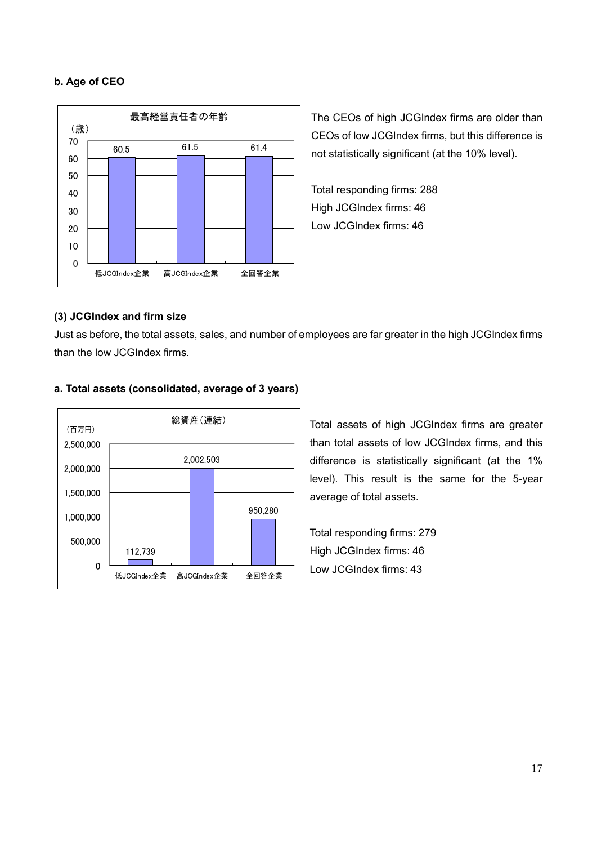## b. Age of CEO



The CEOs of high JCGIndex firms are older than CEOs of low JCGIndex firms, but this difference is not statistically significant (at the 10% level).

Total responding firms: 288 High JCGIndex firms: 46 Low JCGIndex firms: 46

## (3) JCGIndex and firm size

Just as before, the total assets, sales, and number of employees are far greater in the high JCGIndex firms than the low JCGIndex firms.



#### a. Total assets (consolidated, average of 3 years)

Total assets of high JCGIndex firms are greater than total assets of low JCGIndex firms, and this difference is statistically significant (at the 1% level). This result is the same for the 5-year average of total assets.

Total responding firms: 279 High JCGIndex firms: 46 Low JCGIndex firms: 43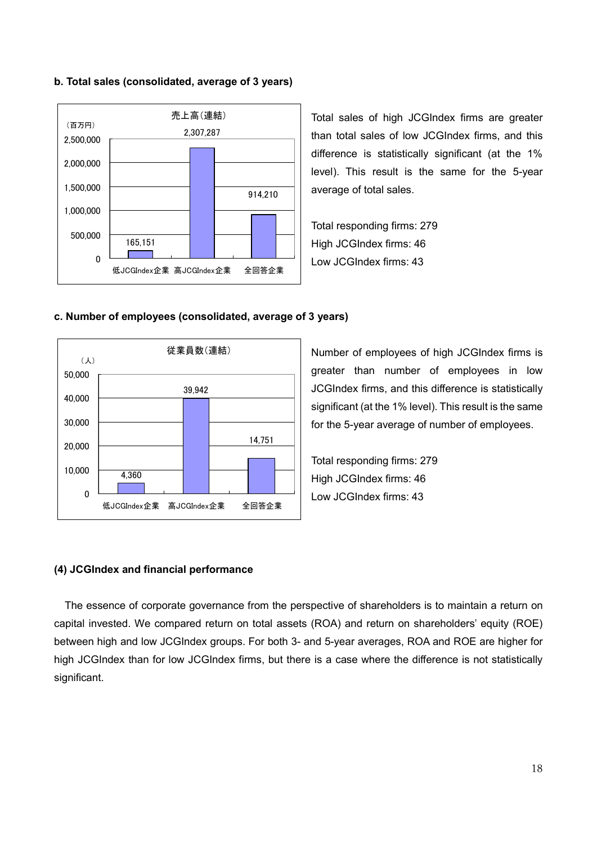#### b. Total sales (consolidated, average of 3 years)



Total sales of high JCGIndex firms are greater than total sales of low JCGIndex firms, and this difference is statistically significant (at the 1% level). This result is the same for the 5-year average of total sales.

Total responding firms: 279 High JCGIndex firms: 46 Low JCGIndex firms: 43





Number of employees of high JCGIndex firms is greater than number of employees in low JCGIndex firms, and this difference is statistically significant (at the 1% level). This result is the same for the 5-year average of number of employees.

Total responding firms: 279 High JCGIndex firms: 46 Low JCGIndex firms: 43

## (4) JCGIndex and financial performance

The essence of corporate governance from the perspective of shareholders is to maintain a return on capital invested. We compared return on total assets (ROA) and return on shareholders' equity (ROE) between high and low JCGIndex groups. For both 3- and 5-year averages, ROA and ROE are higher for high JCGIndex than for low JCGIndex firms, but there is a case where the difference is not statistically significant.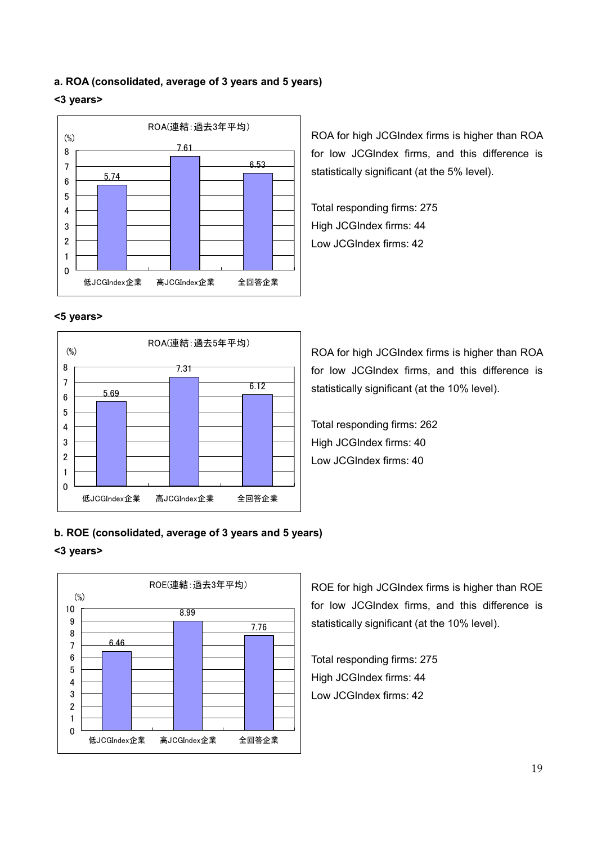#### a. ROA (consolidated, average of 3 years and 5 years)

#### <3 years>



<5 years>



ROA for high JCGIndex firms is higher than ROA for low JCGIndex firms, and this difference is statistically significant (at the 5% level).

Total responding firms: 275 High JCGIndex firms: 44 Low JCGIndex firms: 42

ROA for high JCGIndex firms is higher than ROA for low JCGIndex firms, and this difference is statistically significant (at the 10% level).

Total responding firms: 262 High JCGIndex firms: 40 Low JCGIndex firms: 40

## b. ROE (consolidated, average of 3 years and 5 years)

#### <3 years>



ROE for high JCGIndex firms is higher than ROE for low JCGIndex firms, and this difference is statistically significant (at the 10% level).

Total responding firms: 275 High JCGIndex firms: 44 Low JCGIndex firms: 42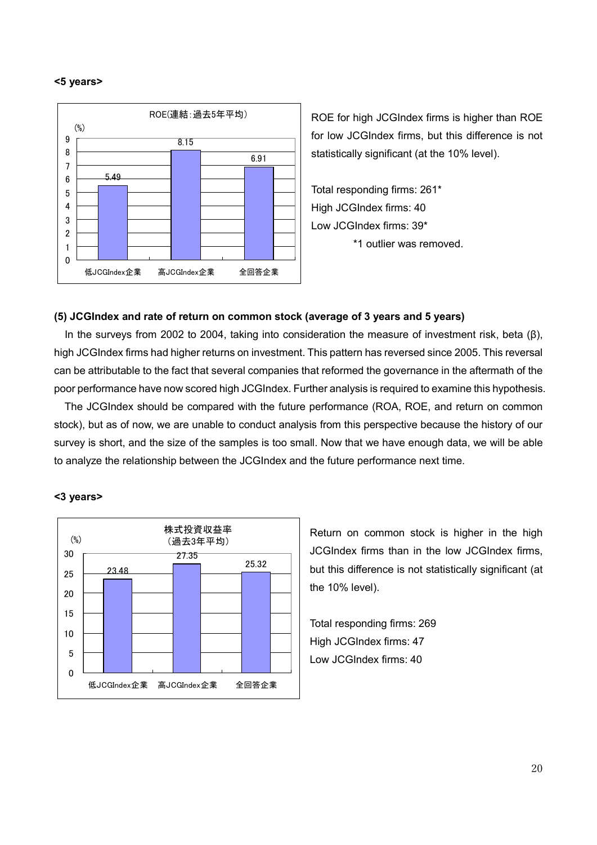#### <5 years>



ROE for high JCGIndex firms is higher than ROE for low JCGIndex firms, but this difference is not statistically significant (at the 10% level).

Total responding firms: 261\* High JCGIndex firms: 40 Low JCGIndex firms: 39\* \*1 outlier was removed.

#### (5) JCGIndex and rate of return on common stock (average of 3 years and 5 years)

In the surveys from 2002 to 2004, taking into consideration the measure of investment risk, beta (β), high JCGIndex firms had higher returns on investment. This pattern has reversed since 2005. This reversal can be attributable to the fact that several companies that reformed the governance in the aftermath of the poor performance have now scored high JCGIndex. Further analysis is required to examine this hypothesis.

 The JCGIndex should be compared with the future performance (ROA, ROE, and return on common stock), but as of now, we are unable to conduct analysis from this perspective because the history of our survey is short, and the size of the samples is too small. Now that we have enough data, we will be able to analyze the relationship between the JCGIndex and the future performance next time.

#### <3 years>



Return on common stock is higher in the high JCGIndex firms than in the low JCGIndex firms, but this difference is not statistically significant (at the 10% level).

Total responding firms: 269 High JCGIndex firms: 47 Low JCGIndex firms: 40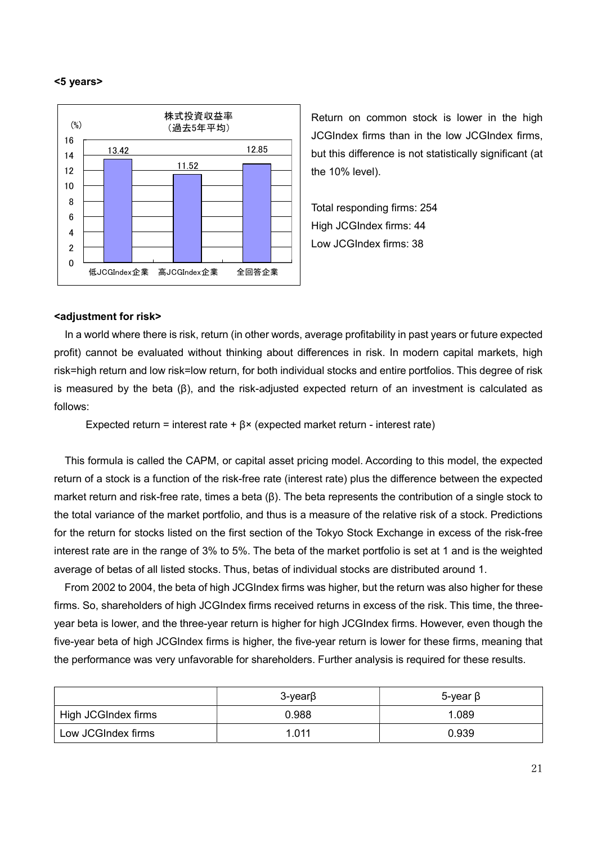#### <5 years>



Return on common stock is lower in the high JCGIndex firms than in the low JCGIndex firms, but this difference is not statistically significant (at the 10% level).

Total responding firms: 254 High JCGIndex firms: 44 Low JCGIndex firms: 38

#### <adjustment for risk>

In a world where there is risk, return (in other words, average profitability in past years or future expected profit) cannot be evaluated without thinking about differences in risk. In modern capital markets, high risk=high return and low risk=low return, for both individual stocks and entire portfolios. This degree of risk is measured by the beta (β), and the risk-adjusted expected return of an investment is calculated as follows:

Expected return = interest rate +  $\beta$ × (expected market return - interest rate)

This formula is called the CAPM, or capital asset pricing model. According to this model, the expected return of a stock is a function of the risk-free rate (interest rate) plus the difference between the expected market return and risk-free rate, times a beta (β). The beta represents the contribution of a single stock to the total variance of the market portfolio, and thus is a measure of the relative risk of a stock. Predictions for the return for stocks listed on the first section of the Tokyo Stock Exchange in excess of the risk-free interest rate are in the range of 3% to 5%. The beta of the market portfolio is set at 1 and is the weighted average of betas of all listed stocks. Thus, betas of individual stocks are distributed around 1.

 From 2002 to 2004, the beta of high JCGIndex firms was higher, but the return was also higher for these firms. So, shareholders of high JCGIndex firms received returns in excess of the risk. This time, the threeyear beta is lower, and the three-year return is higher for high JCGIndex firms. However, even though the five-year beta of high JCGIndex firms is higher, the five-year return is lower for these firms, meaning that the performance was very unfavorable for shareholders. Further analysis is required for these results.

|                     | $3$ -year $\beta$ | 5-γear β |
|---------------------|-------------------|----------|
| High JCGIndex firms | 0.988             | 1.089    |
| Low JCGIndex firms  | 1.011             | 0.939    |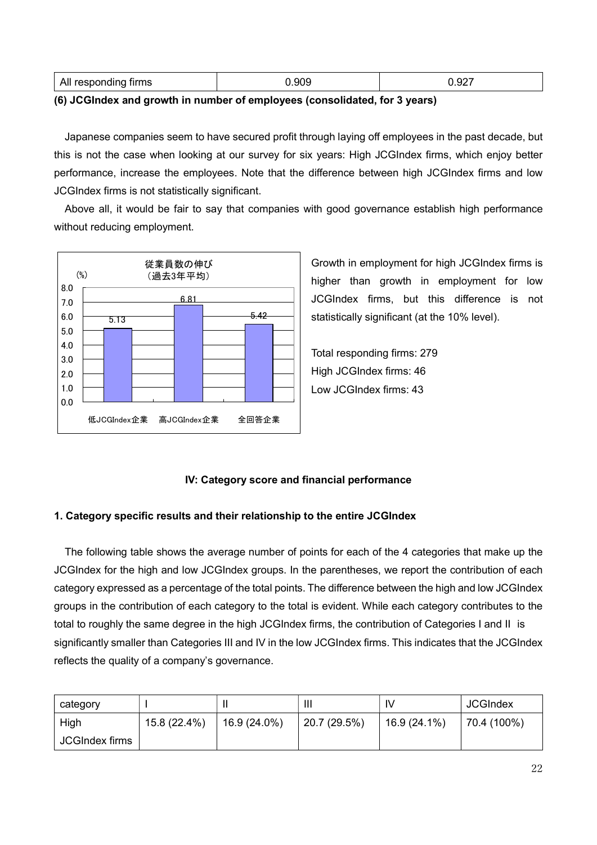| All responding firms | 909. | . ^^-<br>0.927 |
|----------------------|------|----------------|
|----------------------|------|----------------|

#### (6) JCGIndex and growth in number of employees (consolidated, for 3 years)

Japanese companies seem to have secured profit through laying off employees in the past decade, but this is not the case when looking at our survey for six years: High JCGIndex firms, which enjoy better performance, increase the employees. Note that the difference between high JCGIndex firms and low JCGIndex firms is not statistically significant.

Above all, it would be fair to say that companies with good governance establish high performance without reducing employment.



Growth in employment for high JCGIndex firms is higher than growth in employment for low JCGIndex firms, but this difference is not statistically significant (at the 10% level).

Total responding firms: 279 High JCGIndex firms: 46 Low JCGIndex firms: 43

## IV: Category score and financial performance

#### 1. Category specific results and their relationship to the entire JCGIndex

The following table shows the average number of points for each of the 4 categories that make up the JCGIndex for the high and low JCGIndex groups. In the parentheses, we report the contribution of each category expressed as a percentage of the total points. The difference between the high and low JCGIndex groups in the contribution of each category to the total is evident. While each category contributes to the total to roughly the same degree in the high JCGIndex firms, the contribution of Categories I and II is significantly smaller than Categories III and IV in the low JCGIndex firms. This indicates that the JCGIndex reflects the quality of a company's governance.

| category       |              | Ш            | Ш            | IV           | <b>JCGIndex</b> |
|----------------|--------------|--------------|--------------|--------------|-----------------|
| High           | 15.8 (22.4%) | 16.9 (24.0%) | 20.7 (29.5%) | 16.9 (24.1%) | 70.4 (100%)     |
| JCGIndex firms |              |              |              |              |                 |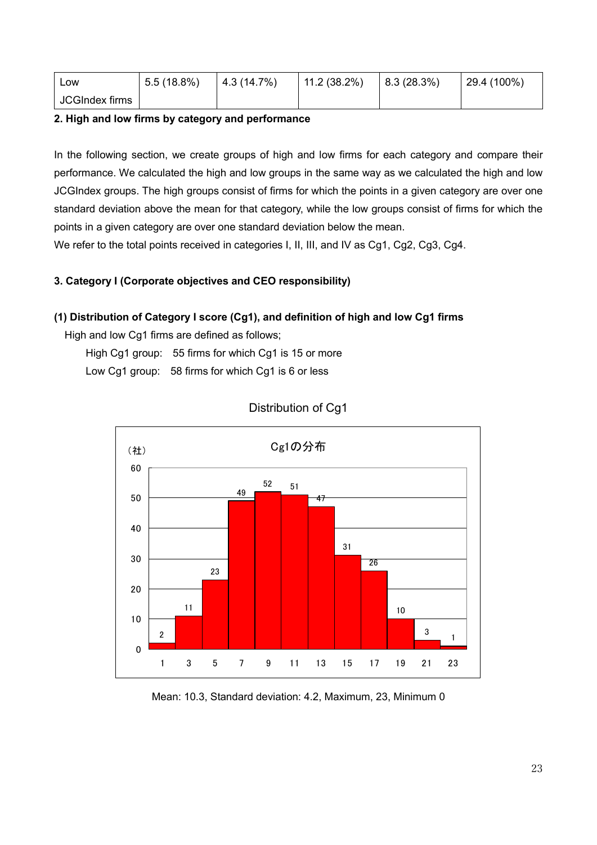| Low            | 5.5(18.8%) | 4.3(14.7%) | $11.2(38.2\%)$ | 8.3(28.3%) | $29.4(100\%)$ |
|----------------|------------|------------|----------------|------------|---------------|
| JCGIndex firms |            |            |                |            |               |

## 2. High and low firms by category and performance

In the following section, we create groups of high and low firms for each category and compare their performance. We calculated the high and low groups in the same way as we calculated the high and low JCGIndex groups. The high groups consist of firms for which the points in a given category are over one standard deviation above the mean for that category, while the low groups consist of firms for which the points in a given category are over one standard deviation below the mean.

We refer to the total points received in categories I, II, III, and IV as Cg1, Cg2, Cg3, Cg4.

## 3. Category I (Corporate objectives and CEO responsibility)

## (1) Distribution of Category I score (Cg1), and definition of high and low Cg1 firms

High and low Cg1 firms are defined as follows;

High Cg1 group: 55 firms for which Cg1 is 15 or more

Low Cg1 group: 58 firms for which Cg1 is 6 or less



## Distribution of Cg1

Mean: 10.3, Standard deviation: 4.2, Maximum, 23, Minimum 0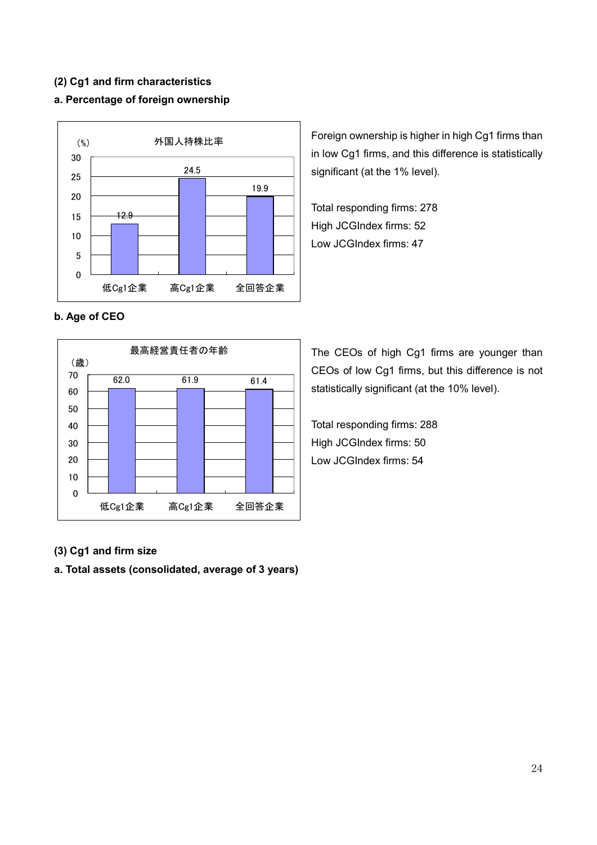## (2) Cg1 and firm characteristics

## a. Percentage of foreign ownership



Foreign ownership is higher in high Cg1 firms than in low Cg1 firms, and this difference is statistically significant (at the 1% level).

Total responding firms: 278 High JCGIndex firms: 52 Low JCGIndex firms: 47

## b. Age of CEO



The CEOs of high Cg1 firms are younger than CEOs of low Cg1 firms, but this difference is not statistically significant (at the 10% level).

Total responding firms: 288 High JCGIndex firms: 50 Low JCGIndex firms: 54

#### (3) Cg1 and firm size

a. Total assets (consolidated, average of 3 years)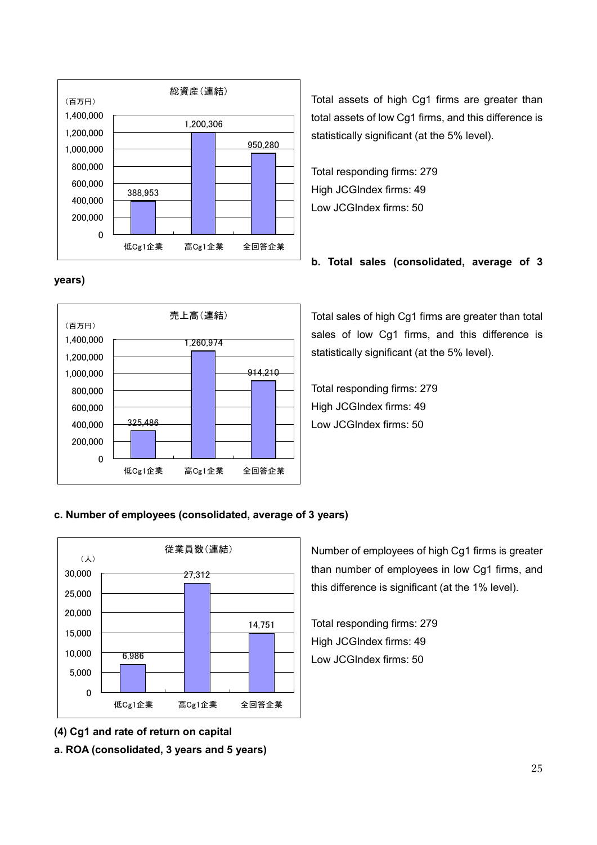

## years)



Total assets of high Cg1 firms are greater than total assets of low Cg1 firms, and this difference is statistically significant (at the 5% level).

Total responding firms: 279 High JCGIndex firms: 49 Low JCGIndex firms: 50

## b. Total sales (consolidated, average of 3

Total sales of high Cg1 firms are greater than total sales of low Cg1 firms, and this difference is statistically significant (at the 5% level).

Total responding firms: 279 High JCGIndex firms: 49 Low JCGIndex firms: 50

## c. Number of employees (consolidated, average of 3 years)



(4) Cg1 and rate of return on capital a. ROA (consolidated, 3 years and 5 years) Number of employees of high Cg1 firms is greater than number of employees in low Cg1 firms, and this difference is significant (at the 1% level).

Total responding firms: 279 High JCGIndex firms: 49 Low JCGIndex firms: 50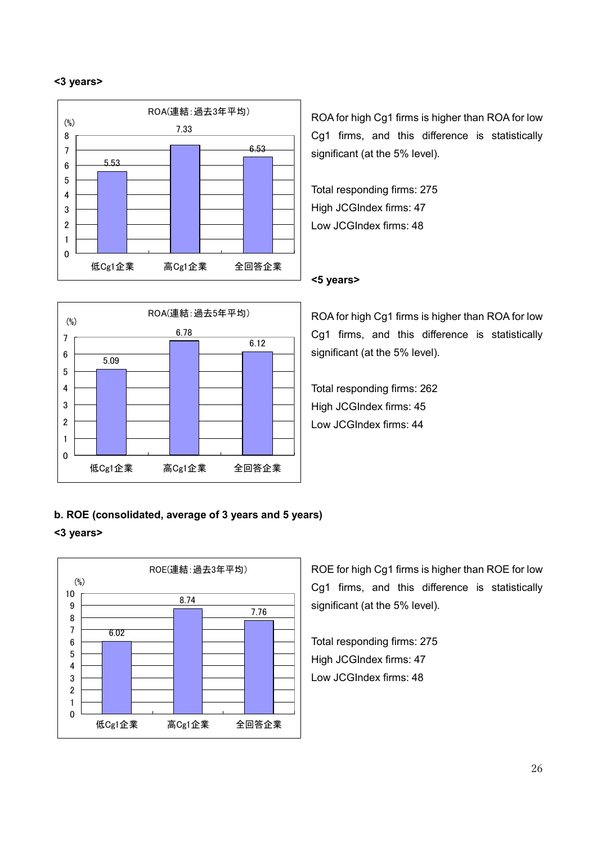#### <3 years>





ROA for high Cg1 firms is higher than ROA for low Cg1 firms, and this difference is statistically significant (at the 5% level).

Total responding firms: 275 High JCGIndex firms: 47 Low JCGIndex firms: 48

#### <5 years>

ROA for high Cg1 firms is higher than ROA for low Cg1 firms, and this difference is statistically significant (at the 5% level).

Total responding firms: 262 High JCGIndex firms: 45 Low JCGIndex firms: 44

# b. ROE (consolidated, average of 3 years and 5 years)

## <3 years>



ROE for high Cg1 firms is higher than ROE for low Cg1 firms, and this difference is statistically significant (at the 5% level).

Total responding firms: 275 High JCGIndex firms: 47 Low JCGIndex firms: 48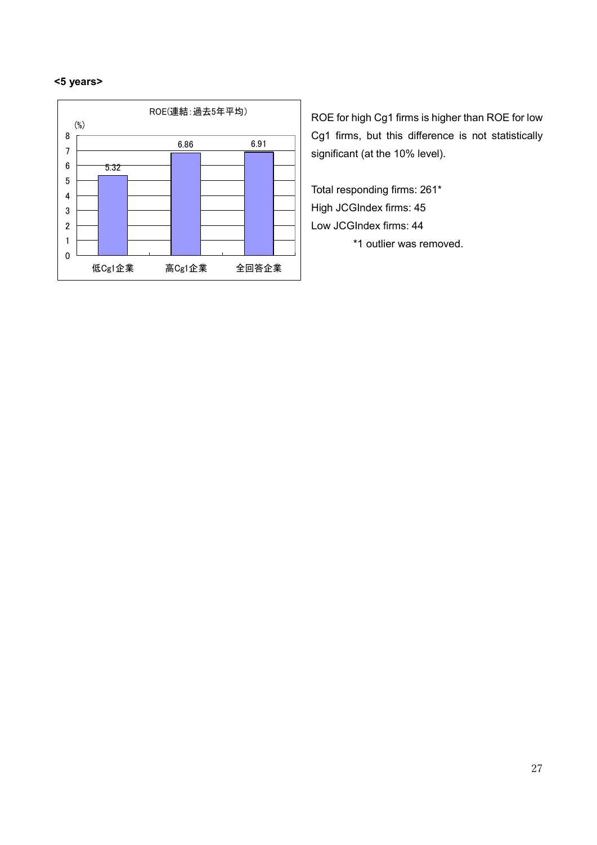#### <5 years>



ROE for high Cg1 firms is higher than ROE for low Cg1 firms, but this difference is not statistically significant (at the 10% level).

Total responding firms: 261\* High JCGIndex firms: 45 Low JCGIndex firms: 44 \*1 outlier was removed.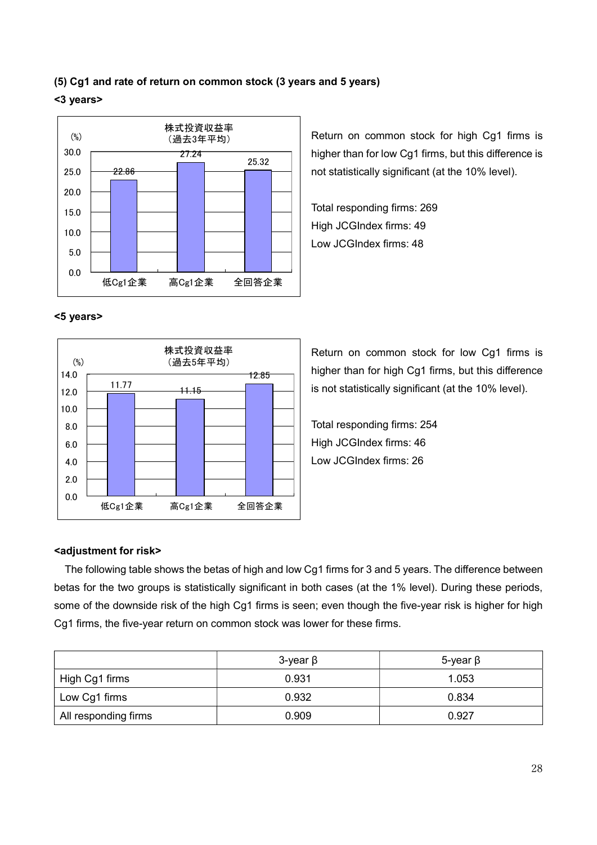# (5) Cg1 and rate of return on common stock (3 years and 5 years) <3 years>



Return on common stock for high Cg1 firms is higher than for low Cg1 firms, but this difference is not statistically significant (at the 10% level).

Total responding firms: 269 High JCGIndex firms: 49 Low JCGIndex firms: 48

## <5 years>



Return on common stock for low Cg1 firms is higher than for high Cg1 firms, but this difference is not statistically significant (at the 10% level).

Total responding firms: 254 High JCGIndex firms: 46 Low JCGIndex firms: 26

#### <adjustment for risk>

The following table shows the betas of high and low Cg1 firms for 3 and 5 years. The difference between betas for the two groups is statistically significant in both cases (at the 1% level). During these periods, some of the downside risk of the high Cg1 firms is seen; even though the five-year risk is higher for high Cg1 firms, the five-year return on common stock was lower for these firms.

|                      | $3$ -year $\beta$ | $5$ -year $\beta$ |
|----------------------|-------------------|-------------------|
| High Cg1 firms       | 0.931             | 1.053             |
| Low Cg1 firms        | 0.932             | 0.834             |
| All responding firms | 0.909             | 0.927             |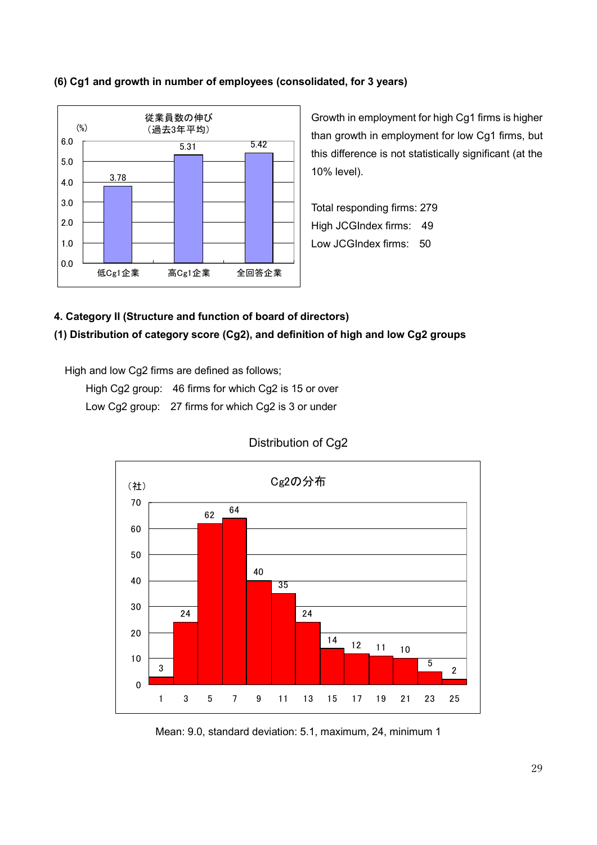## (6) Cg1 and growth in number of employees (consolidated, for 3 years)



Growth in employment for high Cg1 firms is higher than growth in employment for low Cg1 firms, but this difference is not statistically significant (at the 10% level).

Total responding firms: 279 High JCGIndex firms: 49 Low JCGIndex firms: 50

## 4. Category II (Structure and function of board of directors)

## (1) Distribution of category score (Cg2), and definition of high and low Cg2 groups

High and low Cg2 firms are defined as follows;

High Cg2 group: 46 firms for which Cg2 is 15 or over Low Cg2 group: 27 firms for which Cg2 is 3 or under



## Distribution of Cg2

Mean: 9.0, standard deviation: 5.1, maximum, 24, minimum 1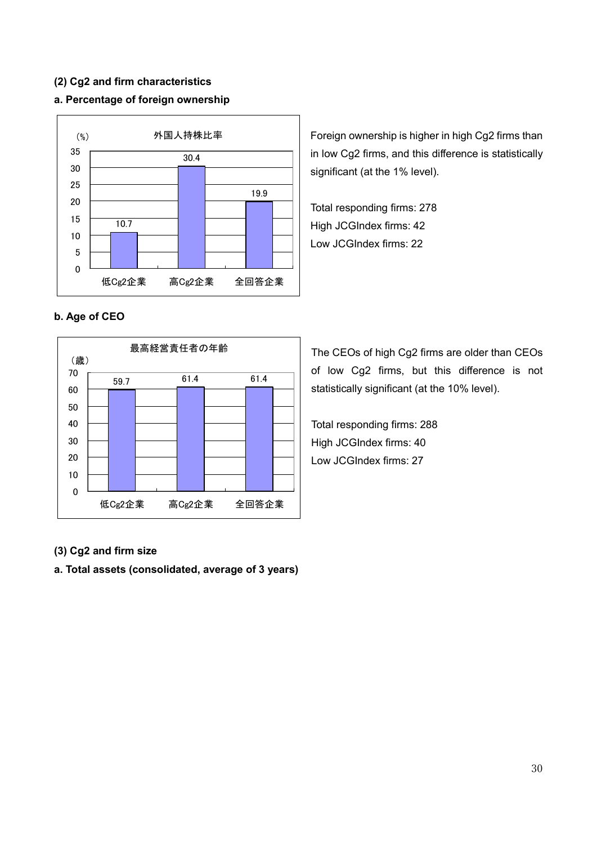## (2) Cg2 and firm characteristics

## a. Percentage of foreign ownership



Foreign ownership is higher in high Cg2 firms than in low Cg2 firms, and this difference is statistically significant (at the 1% level).

Total responding firms: 278 High JCGIndex firms: 42 Low JCGIndex firms: 22

## b. Age of CEO



The CEOs of high Cg2 firms are older than CEOs of low Cg2 firms, but this difference is not statistically significant (at the 10% level).

Total responding firms: 288 High JCGIndex firms: 40 Low JCGIndex firms: 27

## (3) Cg2 and firm size

a. Total assets (consolidated, average of 3 years)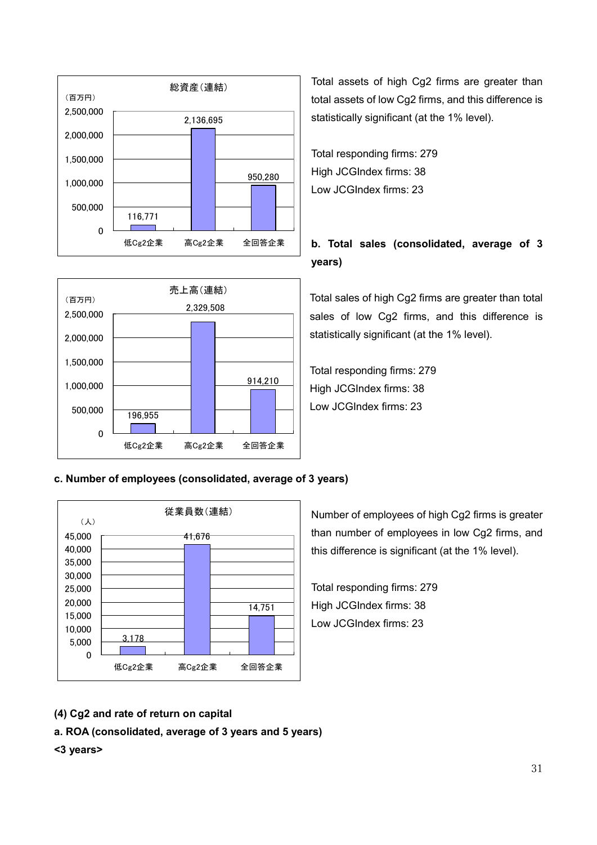



Total assets of high Cg2 firms are greater than total assets of low Cg2 firms, and this difference is statistically significant (at the 1% level).

Total responding firms: 279 High JCGIndex firms: 38 Low JCGIndex firms: 23

# b. Total sales (consolidated, average of 3 years)

Total sales of high Cg2 firms are greater than total sales of low Cg2 firms, and this difference is statistically significant (at the 1% level).

Total responding firms: 279 High JCGIndex firms: 38 Low JCGIndex firms: 23

## c. Number of employees (consolidated, average of 3 years)



Number of employees of high Cg2 firms is greater than number of employees in low Cg2 firms, and this difference is significant (at the 1% level).

Total responding firms: 279 High JCGIndex firms: 38 Low JCGIndex firms: 23

- (4) Cg2 and rate of return on capital
- a. ROA (consolidated, average of 3 years and 5 years)

## <3 years>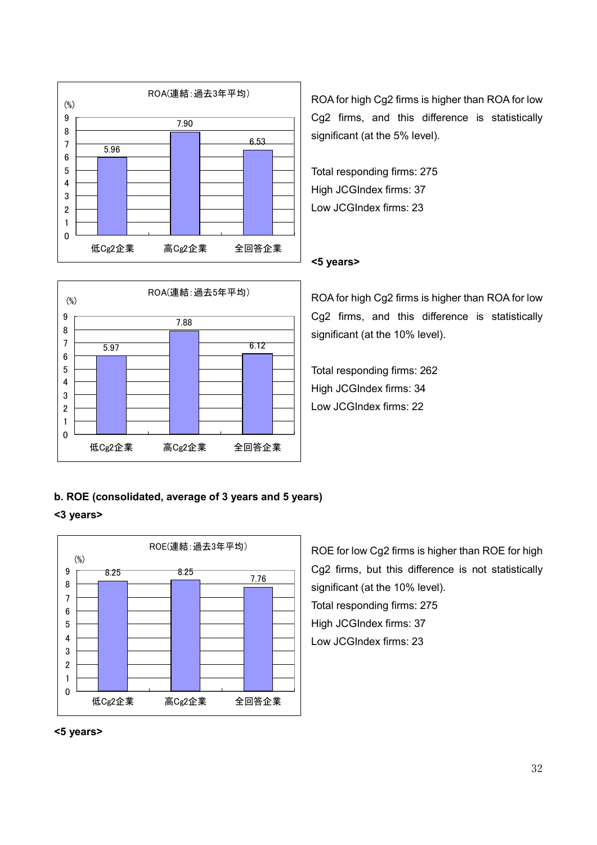



ROA for high Cg2 firms is higher than ROA for low Cg2 firms, and this difference is statistically significant (at the 5% level).

Total responding firms: 275 High JCGIndex firms: 37 Low JCGIndex firms: 23

## <5 years>

ROA for high Cg2 firms is higher than ROA for low Cg2 firms, and this difference is statistically significant (at the 10% level).

Total responding firms: 262 High JCGIndex firms: 34 Low JCGIndex firms: 22

## b. ROE (consolidated, average of 3 years and 5 years)

## <3 years>



ROE for low Cg2 firms is higher than ROE for high Cg2 firms, but this difference is not statistically significant (at the 10% level). Total responding firms: 275 High JCGIndex firms: 37 Low JCGIndex firms: 23

## <5 years>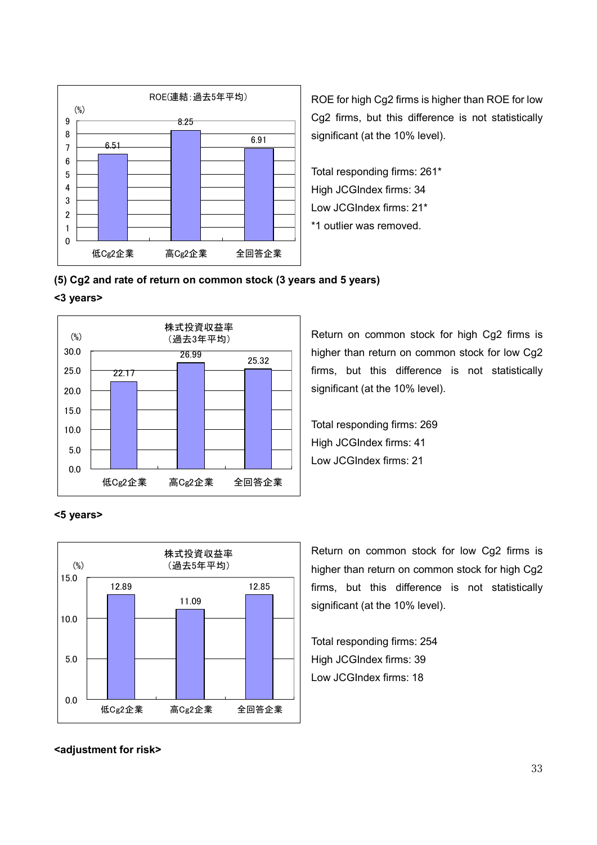

ROE for high Cg2 firms is higher than ROE for low Cg2 firms, but this difference is not statistically significant (at the 10% level).

Total responding firms: 261\* High JCGIndex firms: 34 Low JCGIndex firms: 21\* \*1 outlier was removed.

## (5) Cg2 and rate of return on common stock (3 years and 5 years)

#### <3 years>



Return on common stock for high Cg2 firms is higher than return on common stock for low Cg2 firms, but this difference is not statistically significant (at the 10% level).

Total responding firms: 269 High JCGIndex firms: 41 Low JCGIndex firms: 21

#### <5 years>



Return on common stock for low Cg2 firms is higher than return on common stock for high Cg2 firms, but this difference is not statistically significant (at the 10% level).

Total responding firms: 254 High JCGIndex firms: 39 Low JCGIndex firms: 18

#### <adjustment for risk>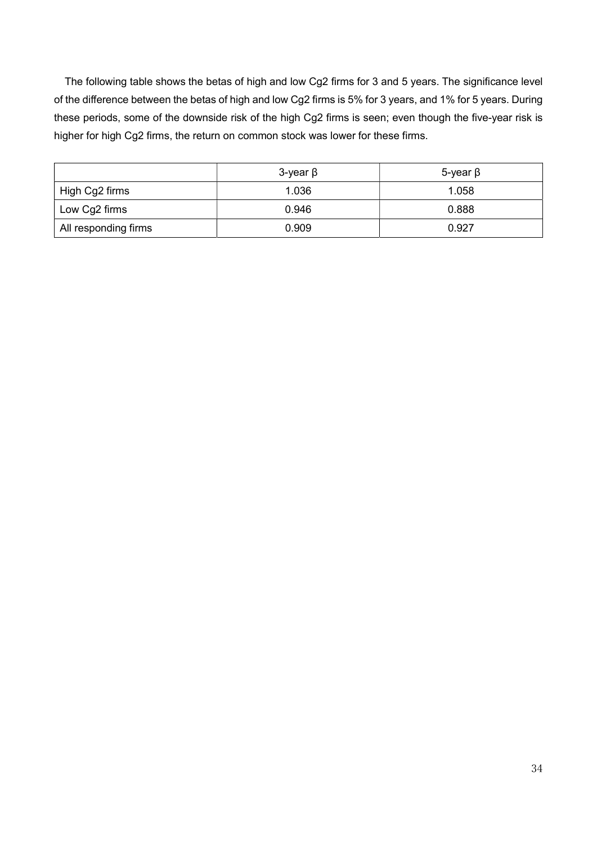The following table shows the betas of high and low Cg2 firms for 3 and 5 years. The significance level of the difference between the betas of high and low Cg2 firms is 5% for 3 years, and 1% for 5 years. During these periods, some of the downside risk of the high Cg2 firms is seen; even though the five-year risk is higher for high Cg2 firms, the return on common stock was lower for these firms.

|                      | $3$ -year $\beta$ | 5-year β |  |
|----------------------|-------------------|----------|--|
| High Cg2 firms       | 1.036             | 1.058    |  |
| Low Cg2 firms        | 0.946             | 0.888    |  |
| All responding firms | 0.909             | 0.927    |  |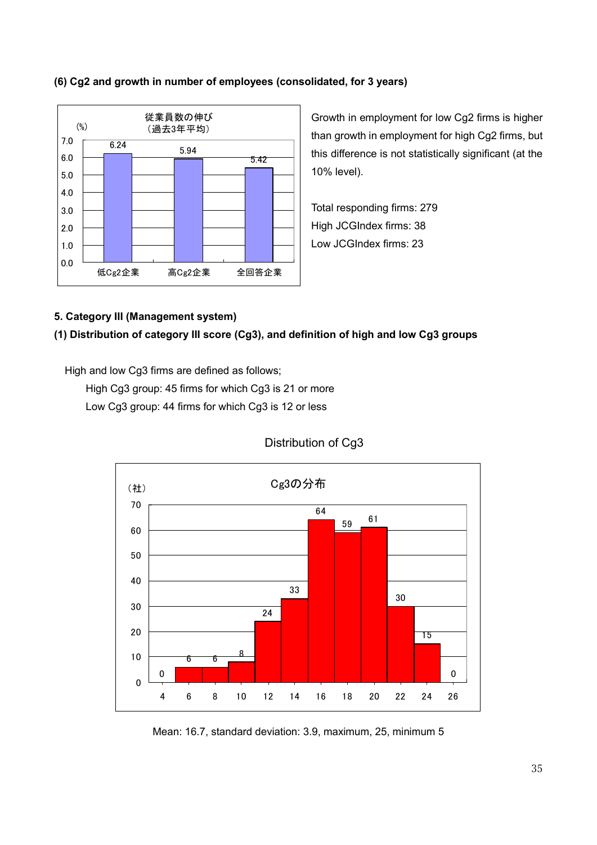## (6) Cg2 and growth in number of employees (consolidated, for 3 years)



Growth in employment for low Cg2 firms is higher than growth in employment for high Cg2 firms, but this difference is not statistically significant (at the 10% level).

Total responding firms: 279 High JCGIndex firms: 38 Low JCGIndex firms: 23

## 5. Category III (Management system)

## (1) Distribution of category III score (Cg3), and definition of high and low Cg3 groups

High and low Cg3 firms are defined as follows;

High Cg3 group: 45 firms for which Cg3 is 21 or more Low Cg3 group: 44 firms for which Cg3 is 12 or less



Distribution of Cg3

Mean: 16.7, standard deviation: 3.9, maximum, 25, minimum 5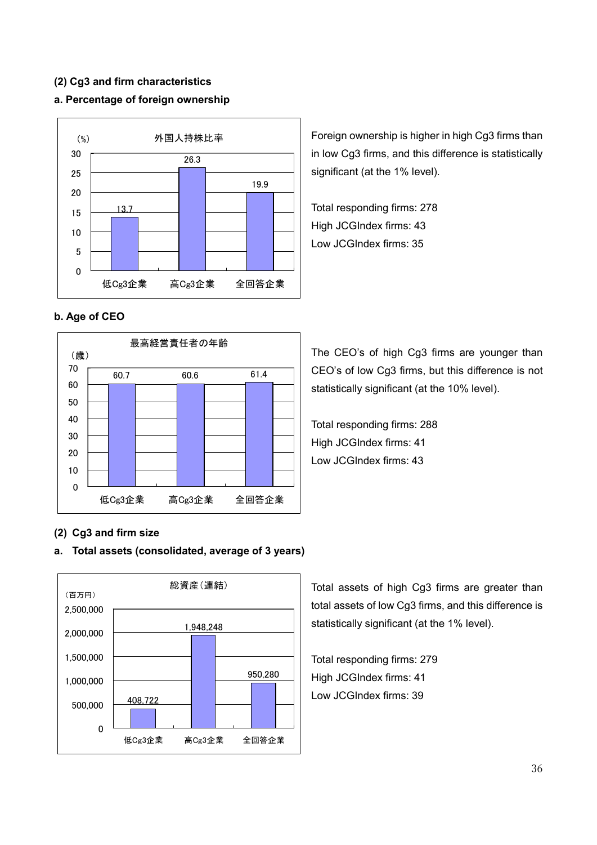## (2) Cg3 and firm characteristics

## a. Percentage of foreign ownership



b. Age of CEO



in low Cg3 firms, and this difference is statistically significant (at the 1% level).

Foreign ownership is higher in high Cg3 firms than

Total responding firms: 278 High JCGIndex firms: 43 Low JCGIndex firms: 35

The CEO's of high Cg3 firms are younger than CEO's of low Cg3 firms, but this difference is not statistically significant (at the 10% level).

Total responding firms: 288 High JCGIndex firms: 41 Low JCGIndex firms: 43

## (2) Cg3 and firm size

## a. Total assets (consolidated, average of 3 years)



Total assets of high Cg3 firms are greater than total assets of low Cg3 firms, and this difference is statistically significant (at the 1% level).

Total responding firms: 279 High JCGIndex firms: 41 Low JCGIndex firms: 39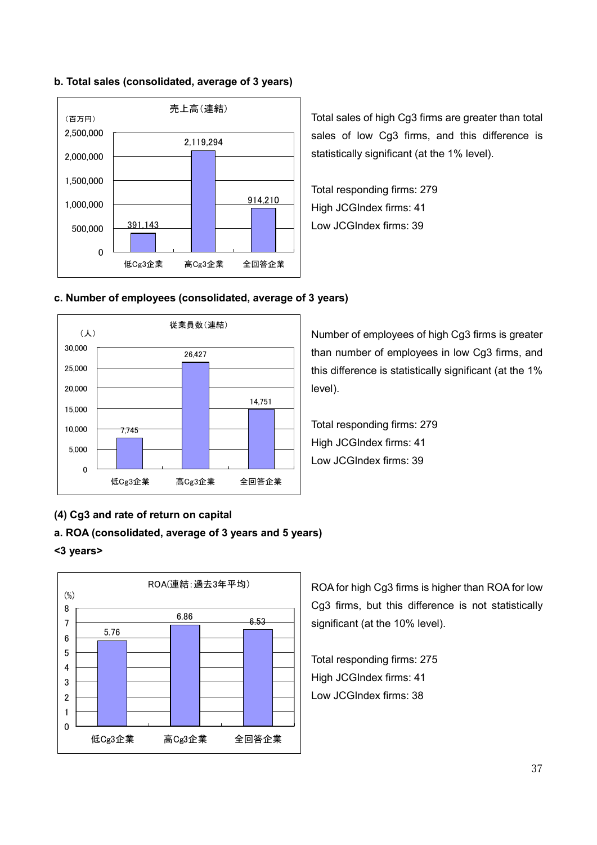## b. Total sales (consolidated, average of 3 years)



Total sales of high Cg3 firms are greater than total sales of low Cg3 firms, and this difference is statistically significant (at the 1% level).

Total responding firms: 279 High JCGIndex firms: 41 Low JCGIndex firms: 39

## c. Number of employees (consolidated, average of 3 years)



Number of employees of high Cg3 firms is greater than number of employees in low Cg3 firms, and this difference is statistically significant (at the 1% level).

Total responding firms: 279 High JCGIndex firms: 41 Low JCGIndex firms: 39

## (4) Cg3 and rate of return on capital

#### a. ROA (consolidated, average of 3 years and 5 years)

#### <3 years>



ROA for high Cg3 firms is higher than ROA for low Cg3 firms, but this difference is not statistically significant (at the 10% level).

Total responding firms: 275 High JCGIndex firms: 41 Low JCGIndex firms: 38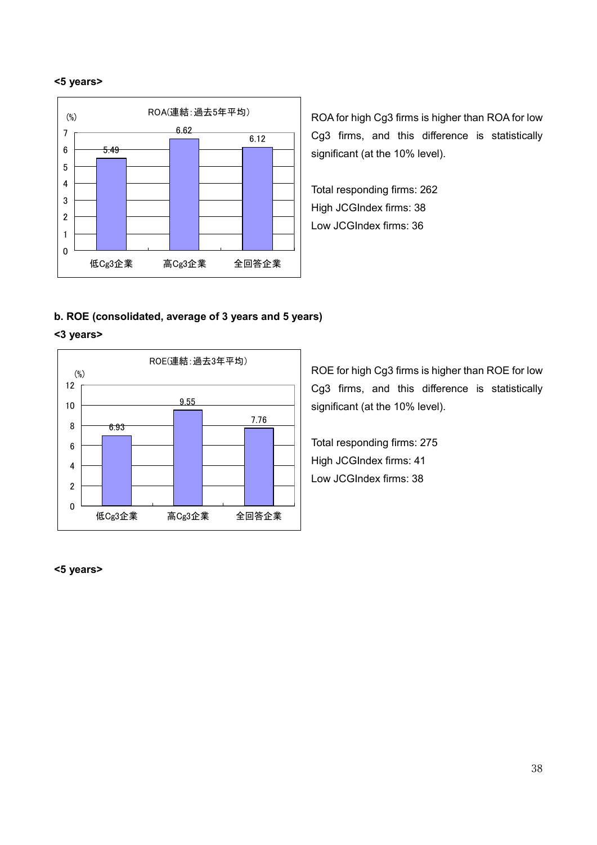#### <5 years>



ROA for high Cg3 firms is higher than ROA for low Cg3 firms, and this difference is statistically significant (at the 10% level).

Total responding firms: 262 High JCGIndex firms: 38 Low JCGIndex firms: 36

## b. ROE (consolidated, average of 3 years and 5 years)

#### <3 years>



ROE for high Cg3 firms is higher than ROE for low Cg3 firms, and this difference is statistically significant (at the 10% level).

Total responding firms: 275 High JCGIndex firms: 41 Low JCGIndex firms: 38

### <5 years>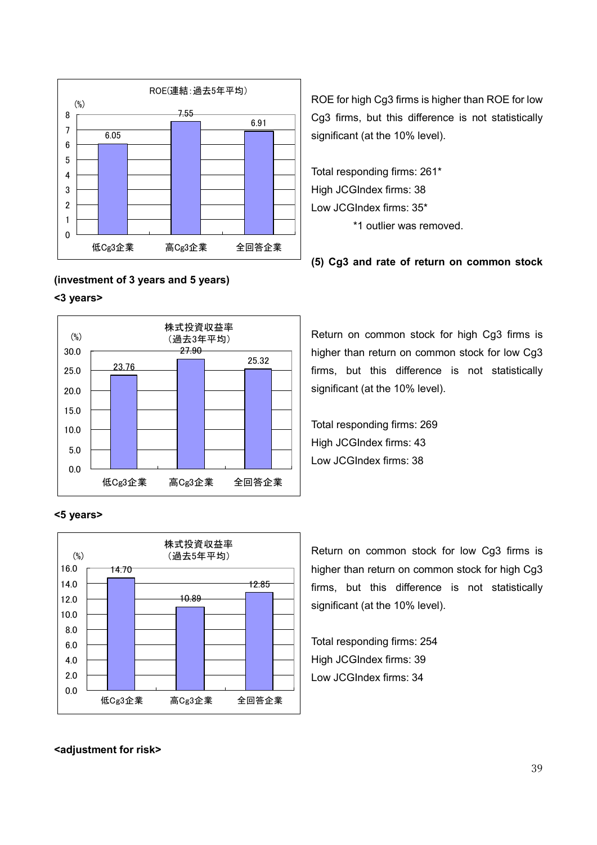

#### (investment of 3 years and 5 years)

#### <3 years>



#### <5 years>



ROE for high Cg3 firms is higher than ROE for low Cg3 firms, but this difference is not statistically significant (at the 10% level).

Total responding firms: 261\* High JCGIndex firms: 38 Low JCGIndex firms: 35\*

\*1 outlier was removed.

(5) Cg3 and rate of return on common stock

Return on common stock for high Cg3 firms is higher than return on common stock for low Cg3 firms, but this difference is not statistically significant (at the 10% level).

Total responding firms: 269 High JCGIndex firms: 43 Low JCGIndex firms: 38

Return on common stock for low Cg3 firms is higher than return on common stock for high Cg3 firms, but this difference is not statistically significant (at the 10% level).

Total responding firms: 254 High JCGIndex firms: 39 Low JCGIndex firms: 34

<adjustment for risk>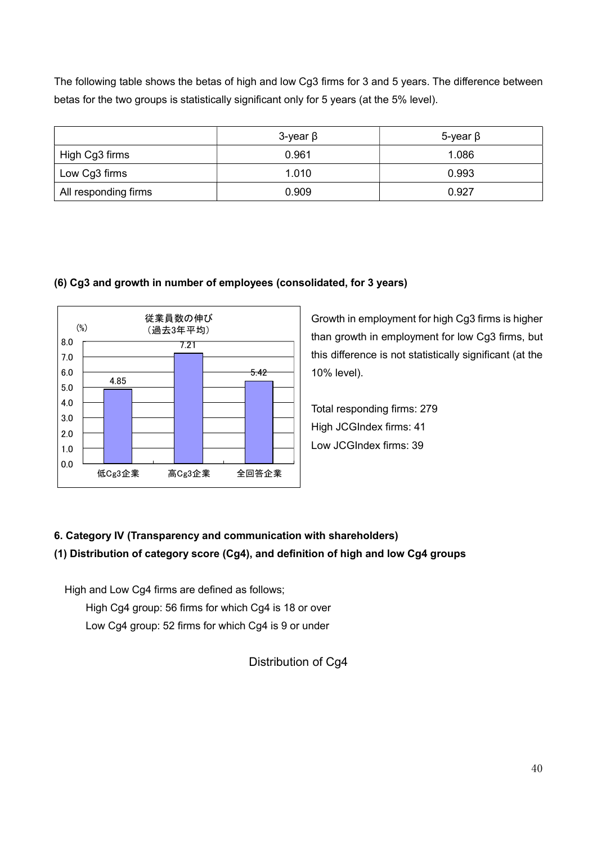The following table shows the betas of high and low Cg3 firms for 3 and 5 years. The difference between betas for the two groups is statistically significant only for 5 years (at the 5% level).

|                      | $3$ -year $\beta$ | 5-year $\beta$ |  |
|----------------------|-------------------|----------------|--|
| High Cg3 firms       | 0.961             | 1.086          |  |
| Low Cg3 firms        | 1.010             | 0.993          |  |
| All responding firms | 0.909             | 0.927          |  |

## (6) Cg3 and growth in number of employees (consolidated, for 3 years)



Growth in employment for high Cg3 firms is higher than growth in employment for low Cg3 firms, but this difference is not statistically significant (at the 10% level).

Total responding firms: 279 High JCGIndex firms: 41 Low JCGIndex firms: 39

# 6. Category IV (Transparency and communication with shareholders) (1) Distribution of category score (Cg4), and definition of high and low Cg4 groups

 High and Low Cg4 firms are defined as follows; High Cg4 group: 56 firms for which Cg4 is 18 or over Low Cg4 group: 52 firms for which Cg4 is 9 or under

Distribution of Cg4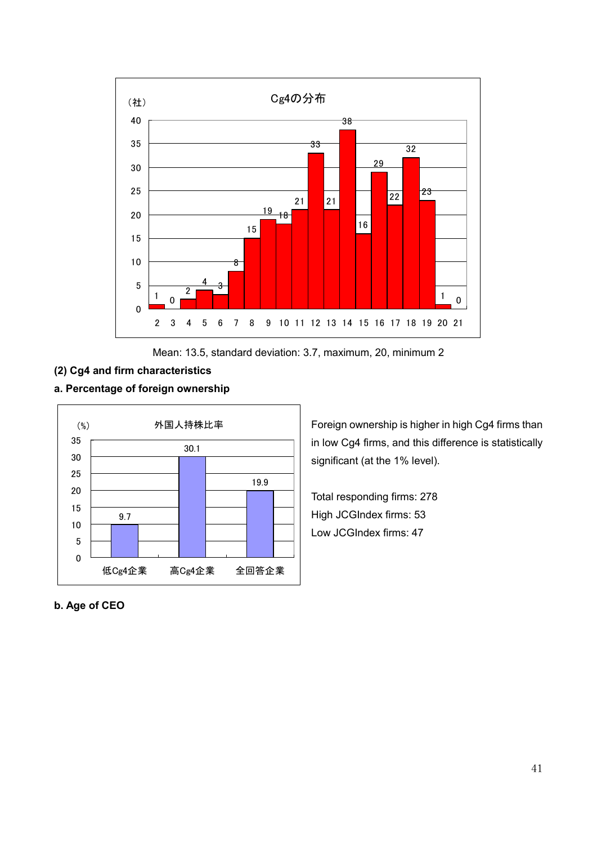

Mean: 13.5, standard deviation: 3.7, maximum, 20, minimum 2

# (2) Cg4 and firm characteristics

## a. Percentage of foreign ownership



Foreign ownership is higher in high Cg4 firms than in low Cg4 firms, and this difference is statistically significant (at the 1% level).

Total responding firms: 278 High JCGIndex firms: 53 Low JCGIndex firms: 47

## b. Age of CEO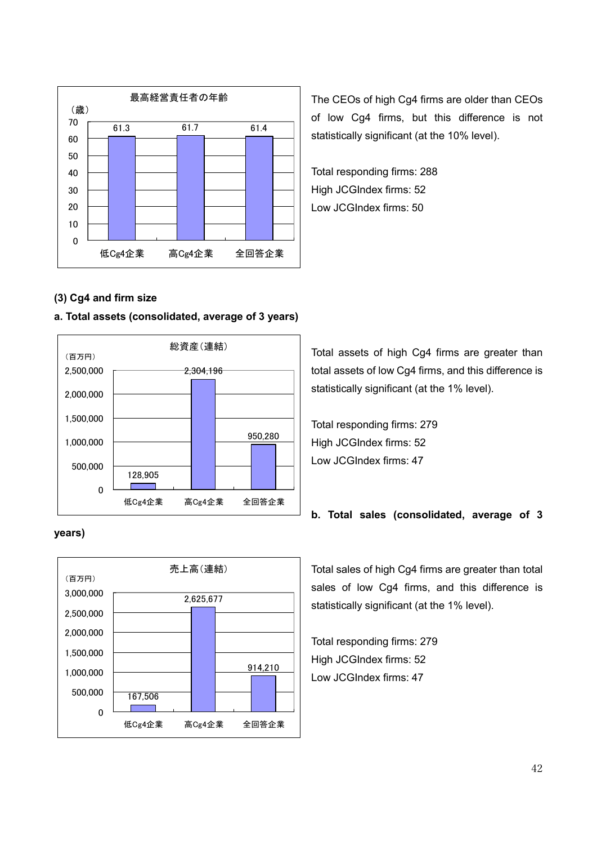

The CEOs of high Cg4 firms are older than CEOs of low Cg4 firms, but this difference is not statistically significant (at the 10% level).

Total responding firms: 288 High JCGIndex firms: 52 Low JCGIndex firms: 50

## (3) Cg4 and firm size

## a. Total assets (consolidated, average of 3 years)



## years)



Total assets of high Cg4 firms are greater than total assets of low Cg4 firms, and this difference is statistically significant (at the 1% level).

Total responding firms: 279 High JCGIndex firms: 52 Low JCGIndex firms: 47

## b. Total sales (consolidated, average of 3

Total sales of high Cg4 firms are greater than total sales of low Cg4 firms, and this difference is statistically significant (at the 1% level).

Total responding firms: 279 High JCGIndex firms: 52 Low JCGIndex firms: 47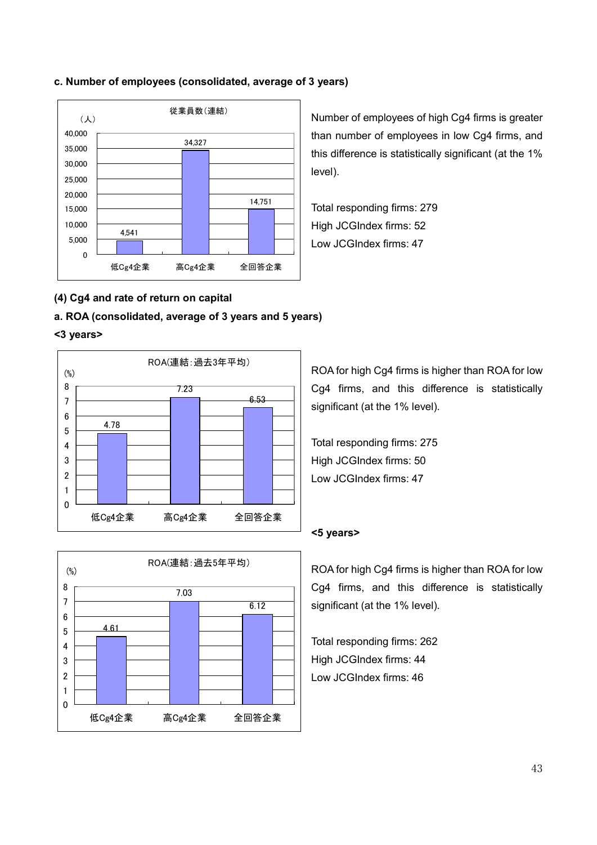

## c. Number of employees (consolidated, average of 3 years)

Number of employees of high Cg4 firms is greater than number of employees in low Cg4 firms, and this difference is statistically significant (at the 1% level).

Total responding firms: 279 High JCGIndex firms: 52 Low JCGIndex firms: 47

## (4) Cg4 and rate of return on capital

## a. ROA (consolidated, average of 3 years and 5 years)

#### <3 years>





ROA for high Cg4 firms is higher than ROA for low Cg4 firms, and this difference is statistically significant (at the 1% level).

Total responding firms: 275 High JCGIndex firms: 50 Low JCGIndex firms: 47

#### <5 years>

ROA for high Cg4 firms is higher than ROA for low Cg4 firms, and this difference is statistically significant (at the 1% level).

Total responding firms: 262 High JCGIndex firms: 44 Low JCGIndex firms: 46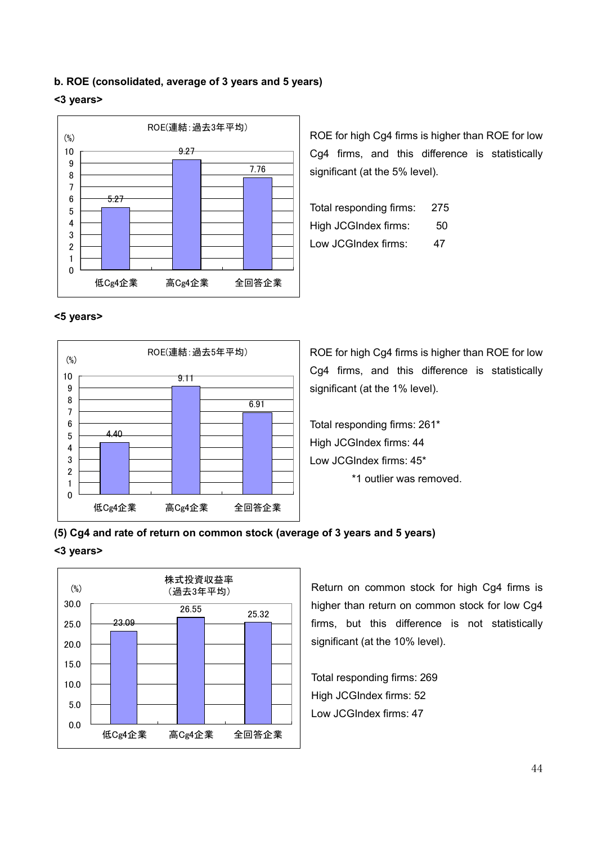## b. ROE (consolidated, average of 3 years and 5 years)

#### <3 years>



ROE for high Cg4 firms is higher than ROE for low Cg4 firms, and this difference is statistically significant (at the 5% level).

| Total responding firms: | 275 |
|-------------------------|-----|
| High JCGIndex firms:    | 50  |
| Low JCGIndex firms:     | 47  |

#### <5 years>



ROE for high Cg4 firms is higher than ROE for low Cg4 firms, and this difference is statistically significant (at the 1% level).

Total responding firms: 261\* High JCGIndex firms: 44 Low JCGIndex firms: 45\* \*1 outlier was removed.

## (5) Cg4 and rate of return on common stock (average of 3 years and 5 years)

#### <3 years>



Return on common stock for high Cg4 firms is higher than return on common stock for low Cg4 firms, but this difference is not statistically significant (at the 10% level).

Total responding firms: 269 High JCGIndex firms: 52 Low JCGIndex firms: 47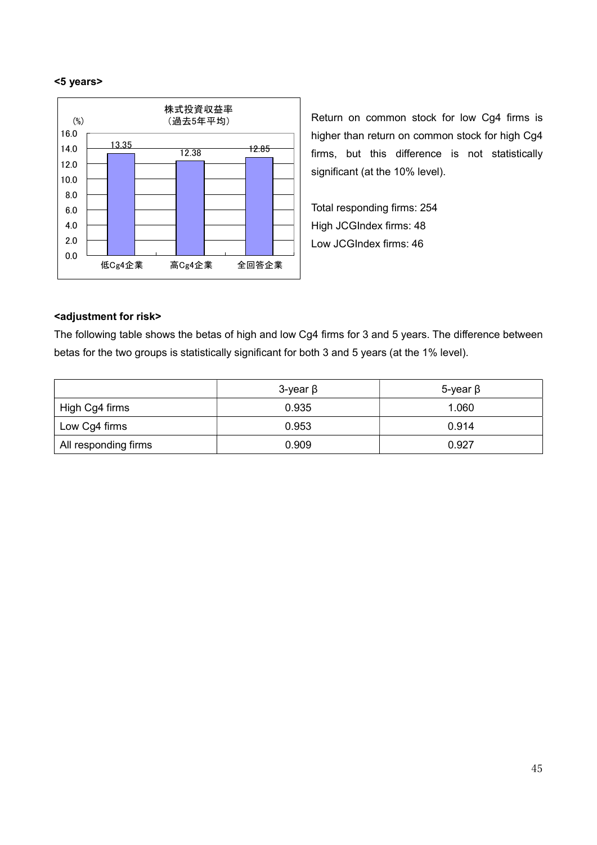#### <5 years>



Return on common stock for low Cg4 firms is higher than return on common stock for high Cg4 firms, but this difference is not statistically significant (at the 10% level).

Total responding firms: 254 High JCGIndex firms: 48 Low JCGIndex firms: 46

#### <adjustment for risk>

The following table shows the betas of high and low Cg4 firms for 3 and 5 years. The difference between betas for the two groups is statistically significant for both 3 and 5 years (at the 1% level).

|                      | 3-year $\beta$ | 5-year $\beta$ |  |
|----------------------|----------------|----------------|--|
| High Cg4 firms       | 0.935          | 1.060          |  |
| Low Cg4 firms        | 0.953          | 0.914          |  |
| All responding firms | 0.909          | 0.927          |  |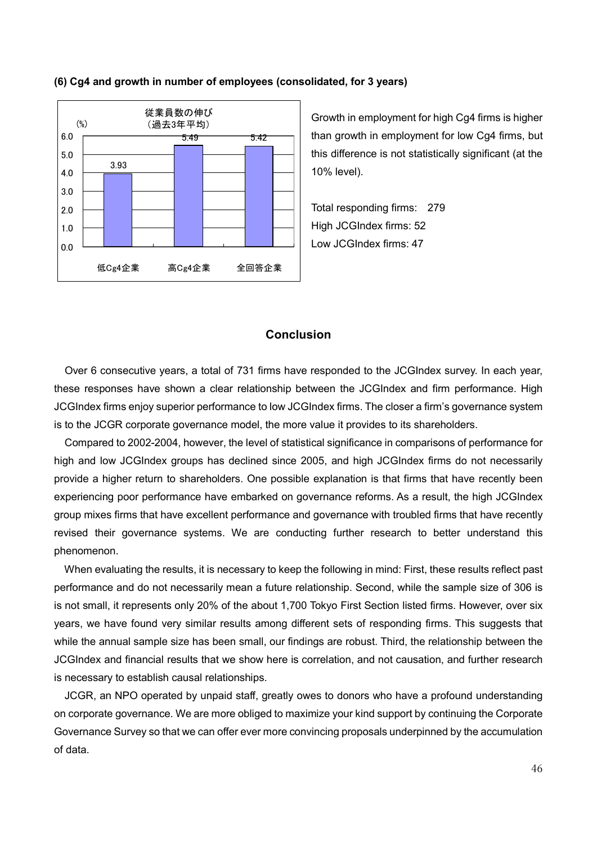

#### (6) Cg4 and growth in number of employees (consolidated, for 3 years)

Growth in employment for high Cg4 firms is higher than growth in employment for low Cg4 firms, but this difference is not statistically significant (at the 10% level).

Total responding firms: 279 High JCGIndex firms: 52 Low JCGIndex firms: 47

## Conclusion

Over 6 consecutive years, a total of 731 firms have responded to the JCGIndex survey. In each year, these responses have shown a clear relationship between the JCGIndex and firm performance. High JCGIndex firms enjoy superior performance to low JCGIndex firms. The closer a firm's governance system is to the JCGR corporate governance model, the more value it provides to its shareholders.

 Compared to 2002-2004, however, the level of statistical significance in comparisons of performance for high and low JCGIndex groups has declined since 2005, and high JCGIndex firms do not necessarily provide a higher return to shareholders. One possible explanation is that firms that have recently been experiencing poor performance have embarked on governance reforms. As a result, the high JCGIndex group mixes firms that have excellent performance and governance with troubled firms that have recently revised their governance systems. We are conducting further research to better understand this phenomenon.

 When evaluating the results, it is necessary to keep the following in mind: First, these results reflect past performance and do not necessarily mean a future relationship. Second, while the sample size of 306 is is not small, it represents only 20% of the about 1,700 Tokyo First Section listed firms. However, over six years, we have found very similar results among different sets of responding firms. This suggests that while the annual sample size has been small, our findings are robust. Third, the relationship between the JCGIndex and financial results that we show here is correlation, and not causation, and further research is necessary to establish causal relationships.

 JCGR, an NPO operated by unpaid staff, greatly owes to donors who have a profound understanding on corporate governance. We are more obliged to maximize your kind support by continuing the Corporate Governance Survey so that we can offer ever more convincing proposals underpinned by the accumulation of data.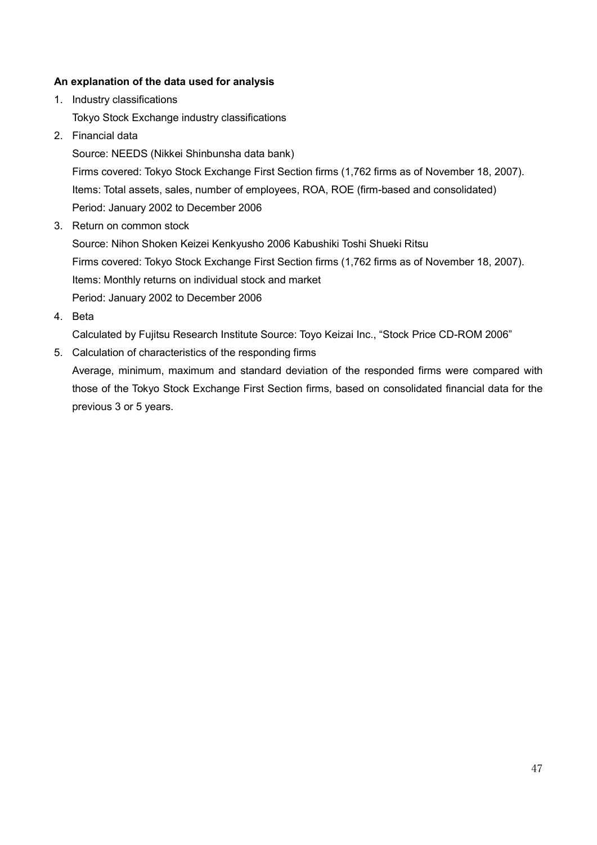## An explanation of the data used for analysis

- 1. Industry classifications Tokyo Stock Exchange industry classifications
- 2. Financial data

Source: NEEDS (Nikkei Shinbunsha data bank)

Firms covered: Tokyo Stock Exchange First Section firms (1,762 firms as of November 18, 2007). Items: Total assets, sales, number of employees, ROA, ROE (firm-based and consolidated) Period: January 2002 to December 2006

3. Return on common stock

Source: Nihon Shoken Keizei Kenkyusho 2006 Kabushiki Toshi Shueki Ritsu Firms covered: Tokyo Stock Exchange First Section firms (1,762 firms as of November 18, 2007). Items: Monthly returns on individual stock and market Period: January 2002 to December 2006

4. Beta

Calculated by Fujitsu Research Institute Source: Toyo Keizai Inc., "Stock Price CD-ROM 2006"

5. Calculation of characteristics of the responding firms

Average, minimum, maximum and standard deviation of the responded firms were compared with those of the Tokyo Stock Exchange First Section firms, based on consolidated financial data for the previous 3 or 5 years.